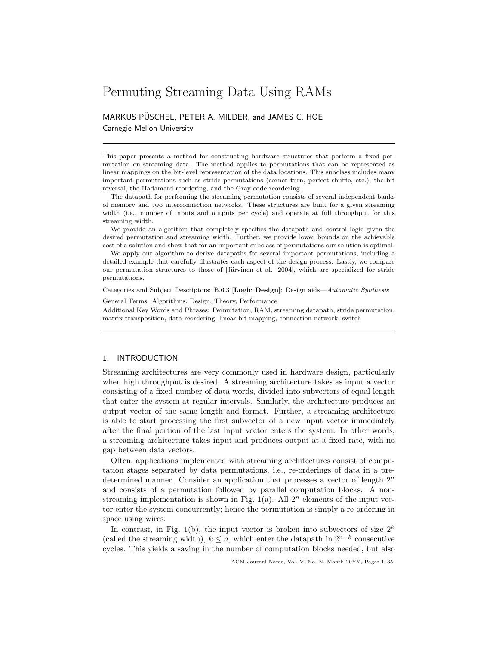# Permuting Streaming Data Using RAMs

MARKUS PÜSCHEL, PETER A. MILDER, and JAMES C. HOE Carnegie Mellon University

This paper presents a method for constructing hardware structures that perform a fixed permutation on streaming data. The method applies to permutations that can be represented as linear mappings on the bit-level representation of the data locations. This subclass includes many important permutations such as stride permutations (corner turn, perfect shuffle, etc.), the bit reversal, the Hadamard reordering, and the Gray code reordering.

The datapath for performing the streaming permutation consists of several independent banks of memory and two interconnection networks. These structures are built for a given streaming width (i.e., number of inputs and outputs per cycle) and operate at full throughput for this streaming width.

We provide an algorithm that completely specifies the datapath and control logic given the desired permutation and streaming width. Further, we provide lower bounds on the achievable cost of a solution and show that for an important subclass of permutations our solution is optimal.

We apply our algorithm to derive datapaths for several important permutations, including a detailed example that carefully illustrates each aspect of the design process. Lastly, we compare our permutation structures to those of [Järvinen et al. 2004], which are specialized for stride permutations.

Categories and Subject Descriptors: B.6.3 [Logic Design]: Design aids—Automatic Synthesis

General Terms: Algorithms, Design, Theory, Performance

Additional Key Words and Phrases: Permutation, RAM, streaming datapath, stride permutation, matrix transposition, data reordering, linear bit mapping, connection network, switch

# 1. INTRODUCTION

Streaming architectures are very commonly used in hardware design, particularly when high throughput is desired. A streaming architecture takes as input a vector consisting of a fixed number of data words, divided into subvectors of equal length that enter the system at regular intervals. Similarly, the architecture produces an output vector of the same length and format. Further, a streaming architecture is able to start processing the first subvector of a new input vector immediately after the final portion of the last input vector enters the system. In other words, a streaming architecture takes input and produces output at a fixed rate, with no gap between data vectors.

Often, applications implemented with streaming architectures consist of computation stages separated by data permutations, i.e., re-orderings of data in a predetermined manner. Consider an application that processes a vector of length  $2^n$ and consists of a permutation followed by parallel computation blocks. A nonstreaming implementation is shown in Fig. 1(a). All  $2^n$  elements of the input vector enter the system concurrently; hence the permutation is simply a re-ordering in space using wires.

In contrast, in Fig. 1(b), the input vector is broken into subvectors of size  $2^k$ (called the streaming width),  $k \leq n$ , which enter the datapath in  $2^{n-k}$  consecutive cycles. This yields a saving in the number of computation blocks needed, but also

ACM Journal Name, Vol. V, No. N, Month 20YY, Pages 1–35.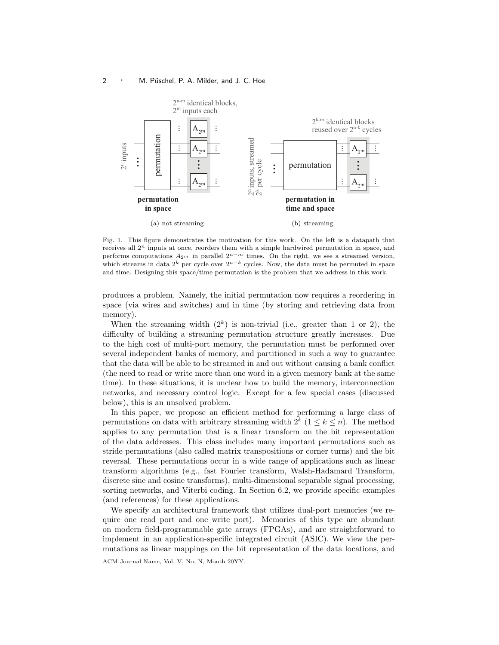

Fig. 1. This figure demonstrates the motivation for this work. On the left is a datapath that receives all  $2<sup>n</sup>$  inputs at once, reorders them with a simple hardwired permutation in space, and performs computations  $A_{2^m}$  in parallel  $2^{n-m}$  times. On the right, we see a streamed version, which streams in data  $2^k$  per cycle over  $2^{n-k}$  cycles. Now, the data must be permuted in space and time. Designing this space/time permutation is the problem that we address in this work.

produces a problem. Namely, the initial permutation now requires a reordering in space (via wires and switches) and in time (by storing and retrieving data from memory).

When the streaming width  $(2^k)$  is non-trivial (i.e., greater than 1 or 2), the difficulty of building a streaming permutation structure greatly increases. Due to the high cost of multi-port memory, the permutation must be performed over several independent banks of memory, and partitioned in such a way to guarantee that the data will be able to be streamed in and out without causing a bank conflict (the need to read or write more than one word in a given memory bank at the same time). In these situations, it is unclear how to build the memory, interconnection networks, and necessary control logic. Except for a few special cases (discussed below), this is an unsolved problem.

In this paper, we propose an efficient method for performing a large class of permutations on data with arbitrary streaming width  $2^k$   $(1 \leq k \leq n)$ . The method applies to any permutation that is a linear transform on the bit representation of the data addresses. This class includes many important permutations such as stride permutations (also called matrix transpositions or corner turns) and the bit reversal. These permutations occur in a wide range of applications such as linear transform algorithms (e.g., fast Fourier transform, Walsh-Hadamard Transform, discrete sine and cosine transforms), multi-dimensional separable signal processing, sorting networks, and Viterbi coding. In Section 6.2, we provide specific examples (and references) for these applications.

We specify an architectural framework that utilizes dual-port memories (we require one read port and one write port). Memories of this type are abundant on modern field-programmable gate arrays (FPGAs), and are straightforward to implement in an application-specific integrated circuit (ASIC). We view the permutations as linear mappings on the bit representation of the data locations, and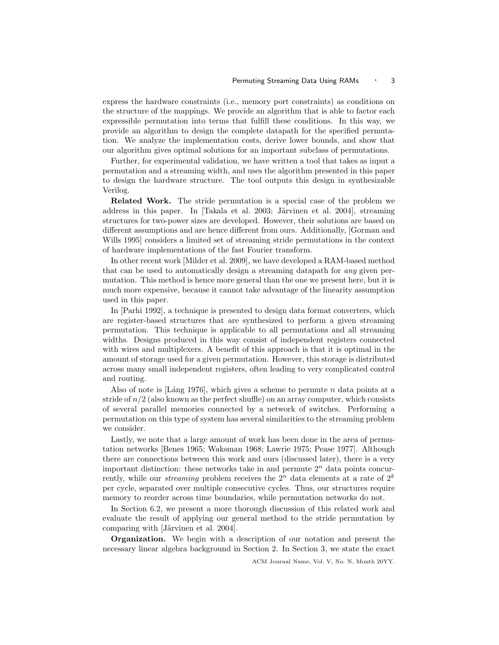express the hardware constraints (i.e., memory port constraints) as conditions on the structure of the mappings. We provide an algorithm that is able to factor each expressible permutation into terms that fulfill these conditions. In this way, we provide an algorithm to design the complete datapath for the specified permutation. We analyze the implementation costs, derive lower bounds, and show that our algorithm gives optimal solutions for an important subclass of permutations.

Further, for experimental validation, we have written a tool that takes as input a permutation and a streaming width, and uses the algorithm presented in this paper to design the hardware structure. The tool outputs this design in synthesizable Verilog.

Related Work. The stride permutation is a special case of the problem we address in this paper. In [Takala et al. 2003; Järvinen et al. 2004], streaming structures for two-power sizes are developed. However, their solutions are based on different assumptions and are hence different from ours. Additionally, [Gorman and Wills 1995] considers a limited set of streaming stride permutations in the context of hardware implementations of the fast Fourier transform.

In other recent work [Milder et al. 2009], we have developed a RAM-based method that can be used to automatically design a streaming datapath for any given permutation. This method is hence more general than the one we present here, but it is much more expensive, because it cannot take advantage of the linearity assumption used in this paper.

In [Parhi 1992], a technique is presented to design data format converters, which are register-based structures that are synthesized to perform a given streaming permutation. This technique is applicable to all permutations and all streaming widths. Designs produced in this way consist of independent registers connected with wires and multiplexers. A benefit of this approach is that it is optimal in the amount of storage used for a given permutation. However, this storage is distributed across many small independent registers, often leading to very complicated control and routing.

Also of note is [Láng 1976], which gives a scheme to permute n data points at a stride of  $n/2$  (also known as the perfect shuffle) on an array computer, which consists of several parallel memories connected by a network of switches. Performing a permutation on this type of system has several similarities to the streaming problem we consider.

Lastly, we note that a large amount of work has been done in the area of permutation networks [Benes 1965; Waksman 1968; Lawrie 1975; Pease 1977]. Although there are connections between this work and ours (discussed later), there is a very important distinction: these networks take in and permute  $2<sup>n</sup>$  data points concurrently, while our *streaming* problem receives the  $2^n$  data elements at a rate of  $2^k$ per cycle, separated over multiple consecutive cycles. Thus, our structures require memory to reorder across time boundaries, while permutation networks do not.

In Section 6.2, we present a more thorough discussion of this related work and evaluate the result of applying our general method to the stride permutation by comparing with [Järvinen et al. 2004].

Organization. We begin with a description of our notation and present the necessary linear algebra background in Section 2. In Section 3, we state the exact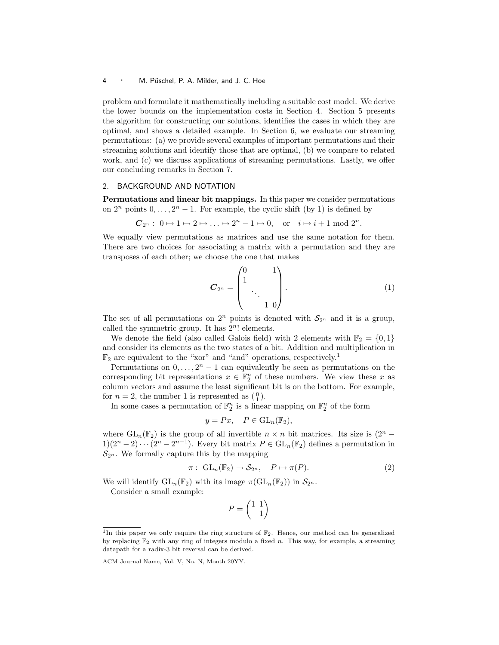problem and formulate it mathematically including a suitable cost model. We derive the lower bounds on the implementation costs in Section 4. Section 5 presents the algorithm for constructing our solutions, identifies the cases in which they are optimal, and shows a detailed example. In Section 6, we evaluate our streaming permutations: (a) we provide several examples of important permutations and their streaming solutions and identify those that are optimal, (b) we compare to related work, and (c) we discuss applications of streaming permutations. Lastly, we offer our concluding remarks in Section 7.

# 2. BACKGROUND AND NOTATION

Permutations and linear bit mappings. In this paper we consider permutations on  $2^n$  points  $0, \ldots, 2^n - 1$ . For example, the cyclic shift (by 1) is defined by

$$
C_{2^n}: 0 \mapsto 1 \mapsto 2 \mapsto \ldots \mapsto 2^n - 1 \mapsto 0, \text{ or } i \mapsto i + 1 \text{ mod } 2^n.
$$

We equally view permutations as matrices and use the same notation for them. There are two choices for associating a matrix with a permutation and they are transposes of each other; we choose the one that makes

$$
C_{2^n} = \begin{pmatrix} 0 & 1 \\ 1 & & \\ & \ddots & \\ & & 1 & 0 \end{pmatrix} . \tag{1}
$$

The set of all permutations on  $2^n$  points is denoted with  $S_{2^n}$  and it is a group, called the symmetric group. It has  $2^n!$  elements.

We denote the field (also called Galois field) with 2 elements with  $\mathbb{F}_2 = \{0,1\}$ and consider its elements as the two states of a bit. Addition and multiplication in  $\mathbb{F}_2$  are equivalent to the "xor" and "and" operations, respectively.<sup>1</sup>

Permutations on  $0, \ldots, 2^n - 1$  can equivalently be seen as permutations on the corresponding bit representations  $x \in \mathbb{F}_2^n$  of these numbers. We view these x as column vectors and assume the least significant bit is on the bottom. For example, for  $n = 2$ , the number 1 is represented as  $\binom{0}{1}$ .

In some cases a permutation of  $\mathbb{F}_2^n$  is a linear mapping on  $\mathbb{F}_2^n$  of the form

$$
y = Px, \quad P \in \mathrm{GL}_n(\mathbb{F}_2),
$$

where  $GL_n(\mathbb{F}_2)$  is the group of all invertible  $n \times n$  bit matrices. Its size is  $(2^n -$ 1)(2<sup>n</sup> − 2) · · · (2<sup>n</sup> − 2<sup>n-1</sup>). Every bit matrix  $P \in GL_n(\mathbb{F}_2)$  defines a permutation in  $\mathcal{S}_{2^n}$ . We formally capture this by the mapping

$$
\pi: GL_n(\mathbb{F}_2) \to \mathcal{S}_{2^n}, \quad P \mapsto \pi(P). \tag{2}
$$

We will identify  $GL_n(\mathbb{F}_2)$  with its image  $\pi(GL_n(\mathbb{F}_2))$  in  $\mathcal{S}_{2^n}$ .

Consider a small example:

$$
P = \begin{pmatrix} 1 & 1 \\ & 1 \end{pmatrix}
$$

<sup>&</sup>lt;sup>1</sup>In this paper we only require the ring structure of  $\mathbb{F}_2$ . Hence, our method can be generalized by replacing  $\mathbb{F}_2$  with any ring of integers modulo a fixed n. This way, for example, a streaming datapath for a radix-3 bit reversal can be derived.

ACM Journal Name, Vol. V, No. N, Month 20YY.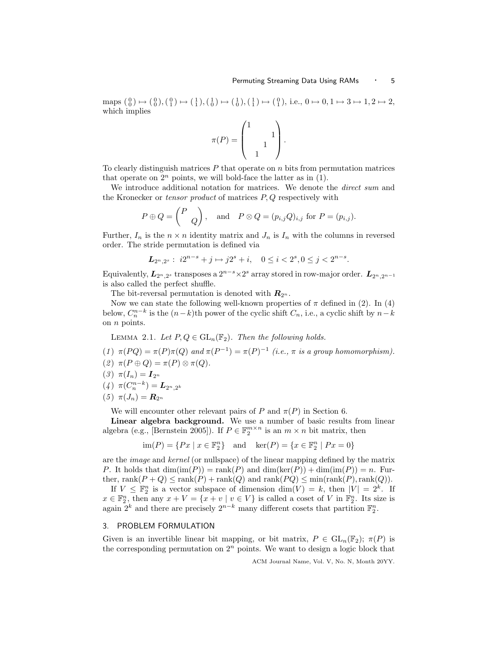maps  $\binom{0}{0} \mapsto \binom{0}{0}, \binom{0}{1} \mapsto \binom{1}{1}, \binom{1}{0} \mapsto \binom{1}{0}, \binom{1}{1} \mapsto \binom{0}{1}$ , i.e.,  $0 \mapsto 0, 1 \mapsto 3 \mapsto 1, 2 \mapsto 2$ , which implies

$$
\pi(P) = \begin{pmatrix} 1 & & \\ & & 1 \\ & & 1 \\ & 1 & \end{pmatrix}.
$$

To clearly distinguish matrices  $P$  that operate on  $n$  bits from permutation matrices that operate on  $2^n$  points, we will bold-face the latter as in (1).

We introduce additional notation for matrices. We denote the *direct sum* and the Kronecker or *tensor product* of matrices  $P, Q$  respectively with

$$
P \oplus Q = \begin{pmatrix} P \\ Q \end{pmatrix}
$$
, and  $P \otimes Q = (p_{i,j}Q)_{i,j}$  for  $P = (p_{i,j})$ .

Further,  $I_n$  is the  $n \times n$  identity matrix and  $J_n$  is  $I_n$  with the columns in reversed order. The stride permutation is defined via

$$
L_{2^n,2^s}: i2^{n-s}+j \mapsto j2^s+i, \quad 0 \le i < 2^s, 0 \le j < 2^{n-s}.
$$

Equivalently,  $\mathbf{L}_{2^n,2^s}$  transposes a  $2^{n-s} \times 2^s$  array stored in row-major order.  $\mathbf{L}_{2^n,2^{n-1}}$ is also called the perfect shuffle.

The bit-reversal permutation is denoted with  $\mathbf{R}_{2^n}$ .

Now we can state the following well-known properties of  $\pi$  defined in (2). In (4) below,  $C_n^{n-k}$  is the  $(n-k)$ th power of the cyclic shift  $C_n$ , i.e., a cyclic shift by  $n-k$ on n points.

LEMMA 2.1. Let  $P, Q \in GL_n(\mathbb{F}_2)$ . Then the following holds.

\n- (1) 
$$
\pi(PQ) = \pi(P)\pi(Q)
$$
 and  $\pi(P^{-1}) = \pi(P)^{-1}$  (i.e.,  $\pi$  is a group homomorphism).
\n- (2)  $\pi(P \oplus Q) = \pi(P) \otimes \pi(Q)$ .
\n- (3)  $\pi(I_n) = \mathbf{I}_{2^n}$
\n- (4)  $\pi(C_n^{n-k}) = \mathbf{L}_{2^n,2^k}$
\n- (5)  $g(A)$   $\mathbf{R}$
\n

 $(5) \pi(J_n) = \mathbf{R}_{2^n}$ 

We will encounter other relevant pairs of P and  $\pi(P)$  in Section 6.

Linear algebra background. We use a number of basic results from linear algebra (e.g., [Bernstein 2005]). If  $P \in \mathbb{F}_2^{m \times n}$  is an  $m \times n$  bit matrix, then

$$
im(P) = \{Px \mid x \in \mathbb{F}_2^n\}
$$
 and  $ker(P) = \{x \in \mathbb{F}_2^n \mid Px = 0\}$ 

are the image and kernel (or nullspace) of the linear mapping defined by the matrix P. It holds that  $\dim(\text{im}(P)) = \text{rank}(P)$  and  $\dim(\text{ker}(P)) + \dim(\text{im}(P)) = n$ . Further,  $rank(P+Q) \le rank(P) + rank(Q)$  and  $rank(PQ) \le min(rank(P), rank(Q)).$ 

If  $V \leq \mathbb{F}_2^n$  is a vector subspace of dimension  $\dim(V) = k$ , then  $|V| = 2^k$ . If  $x \in \mathbb{F}_2^n$ , then any  $x + V = \{x + v \mid v \in V\}$  is called a coset of V in  $\mathbb{F}_2^n$ . Its size is again  $2^k$  and there are precisely  $2^{n-k}$  many different cosets that partition  $\mathbb{F}_2^n$ .

# 3. PROBLEM FORMULATION

Given is an invertible linear bit mapping, or bit matrix,  $P \in GL_n(\mathbb{F}_2)$ ;  $\pi(P)$  is the corresponding permutation on  $2^n$  points. We want to design a logic block that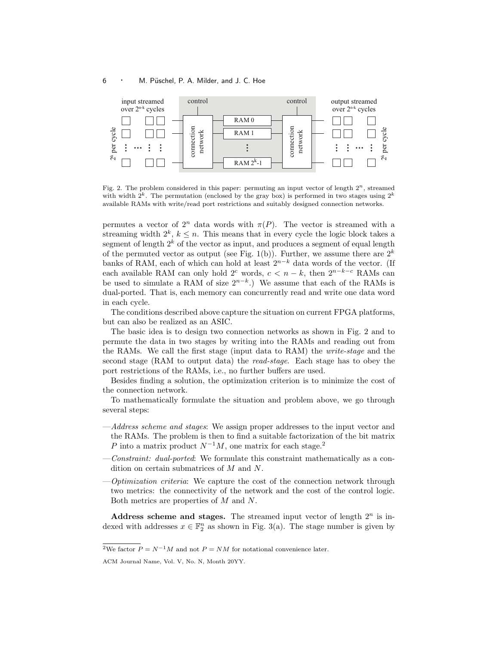

Fig. 2. The problem considered in this paper: permuting an input vector of length  $2<sup>n</sup>$ , streamed with width  $2^k$ . The permutation (enclosed by the gray box) is performed in two stages using  $2^k$ available RAMs with write/read port restrictions and suitably designed connection networks.

permutes a vector of  $2^n$  data words with  $\pi(P)$ . The vector is streamed with a streaming width  $2^k$ ,  $k \leq n$ . This means that in every cycle the logic block takes a segment of length  $2^k$  of the vector as input, and produces a segment of equal length of the permuted vector as output (see Fig. 1(b)). Further, we assume there are  $2^k$ banks of RAM, each of which can hold at least  $2^{n-k}$  data words of the vector. (If each available RAM can only hold  $2^c$  words,  $c < n - k$ , then  $2^{n-k-c}$  RAMs can be used to simulate a RAM of size  $2^{n-k}$ .) We assume that each of the RAMs is dual-ported. That is, each memory can concurrently read and write one data word in each cycle.

The conditions described above capture the situation on current FPGA platforms, but can also be realized as an ASIC.

The basic idea is to design two connection networks as shown in Fig. 2 and to permute the data in two stages by writing into the RAMs and reading out from the RAMs. We call the first stage (input data to RAM) the write-stage and the second stage (RAM to output data) the read-stage. Each stage has to obey the port restrictions of the RAMs, i.e., no further buffers are used.

Besides finding a solution, the optimization criterion is to minimize the cost of the connection network.

To mathematically formulate the situation and problem above, we go through several steps:

- —Address scheme and stages: We assign proper addresses to the input vector and the RAMs. The problem is then to find a suitable factorization of the bit matrix P into a matrix product  $N^{-1}M$ , one matrix for each stage.<sup>2</sup>
- —Constraint: dual-ported: We formulate this constraint mathematically as a condition on certain submatrices of M and N.
- —Optimization criteria: We capture the cost of the connection network through two metrics: the connectivity of the network and the cost of the control logic. Both metrics are properties of M and N.

Address scheme and stages. The streamed input vector of length  $2^n$  is indexed with addresses  $x \in \mathbb{F}_2^n$  as shown in Fig. 3(a). The stage number is given by

<sup>&</sup>lt;sup>2</sup>We factor  $P = N^{-1}M$  and not  $P = NM$  for notational convenience later.

ACM Journal Name, Vol. V, No. N, Month 20YY.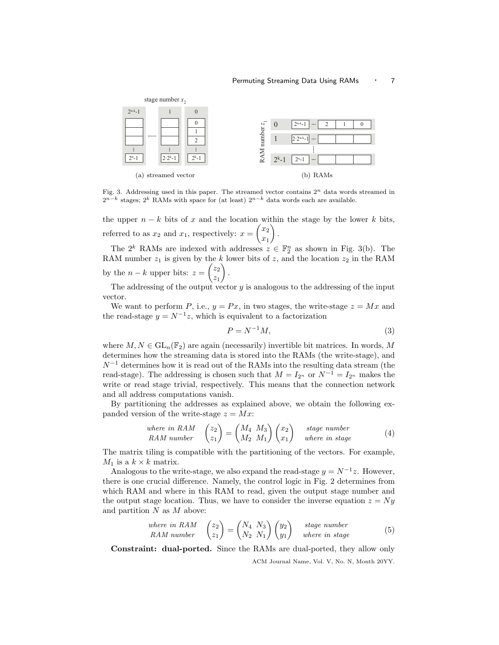

Fig. 3. Addressing used in this paper. The streamed vector contains  $2<sup>n</sup>$  data words streamed in  $2^{n-k}$  stages;  $2^k$  RAMs with space for (at least)  $2^{n-k}$  data words each are available.

the upper  $n - k$  bits of x and the location within the stage by the lower k bits, referred to as  $x_2$  and  $x_1$ , respectively:  $x = \begin{pmatrix} x_2 \\ x_3 \end{pmatrix}$  $\overline{x}_1$  $\big)$  .

The  $2^k$  RAMs are indexed with addresses  $z \in \mathbb{F}_2^n$  as shown in Fig. 3(b). The RAM number  $z_1$  is given by the k lower bits of z, and the location  $z_2$  in the RAM by the  $n - k$  upper bits:  $z = \begin{pmatrix} z_2 \\ z_1 \end{pmatrix}$  $\overline{z}_1$  $\big).$ 

The addressing of the output vector  $y$  is analogous to the addressing of the input vector.

We want to perform P, i.e.,  $y = Px$ , in two stages, the write-stage  $z = Mx$  and the read-stage  $y = N^{-1}z$ , which is equivalent to a factorization

$$
P = N^{-1}M,\t\t(3)
$$

where  $M, N \in GL_n(\mathbb{F}_2)$  are again (necessarily) invertible bit matrices. In words, M determines how the streaming data is stored into the RAMs (the write-stage), and  $N^{-1}$  determines how it is read out of the RAMs into the resulting data stream (the read-stage). The addressing is chosen such that  $M = I_{2^n}$  or  $N^{-1} = I_{2^n}$  makes the write or read stage trivial, respectively. This means that the connection network and all address computations vanish.

By partitioning the addresses as explained above, we obtain the following expanded version of the write-stage  $z = Mx$ :

where in RAM 
$$
\begin{pmatrix} z_2 \\ z_1 \end{pmatrix} = \begin{pmatrix} M_4 & M_3 \\ M_2 & M_1 \end{pmatrix} \begin{pmatrix} x_2 \\ x_1 \end{pmatrix}
$$
 stage number  
where in stage

The matrix tiling is compatible with the partitioning of the vectors. For example,  $M_1$  is a  $k \times k$  matrix.

Analogous to the write-stage, we also expand the read-stage  $y = N^{-1}z$ . However, there is one crucial difference. Namely, the control logic in Fig. 2 determines from which RAM and where in this RAM to read, given the output stage number and the output stage location. Thus, we have to consider the inverse equation  $z = Ny$ and partition  $N$  as  $M$  above:

where in RAM 
$$
\begin{pmatrix} z_2 \\ z_1 \end{pmatrix} = \begin{pmatrix} N_4 & N_3 \\ N_2 & N_1 \end{pmatrix} \begin{pmatrix} y_2 \\ y_1 \end{pmatrix}
$$
 stage number  
where in stage

Constraint: dual-ported. Since the RAMs are dual-ported, they allow only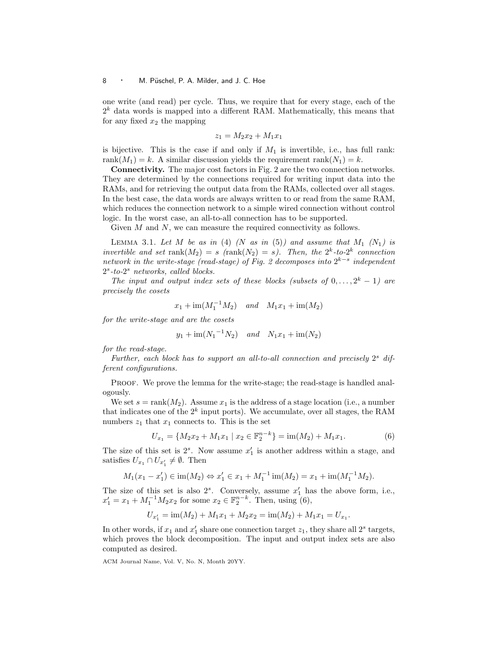one write (and read) per cycle. Thus, we require that for every stage, each of the  $2<sup>k</sup>$  data words is mapped into a different RAM. Mathematically, this means that for any fixed  $x_2$  the mapping

$$
z_1 = M_2 x_2 + M_1 x_1
$$

is bijective. This is the case if and only if  $M_1$  is invertible, i.e., has full rank: rank $(M_1) = k$ . A similar discussion yields the requirement rank $(N_1) = k$ .

Connectivity. The major cost factors in Fig. 2 are the two connection networks. They are determined by the connections required for writing input data into the RAMs, and for retrieving the output data from the RAMs, collected over all stages. In the best case, the data words are always written to or read from the same RAM, which reduces the connection network to a simple wired connection without control logic. In the worst case, an all-to-all connection has to be supported.

Given M and N, we can measure the required connectivity as follows.

LEMMA 3.1. Let M be as in (4) (N as in (5)) and assume that  $M_1$  (N<sub>1</sub>) is invertible and set  $\text{rank}(M_2) = s$  ( $\text{rank}(N_2) = s$ ). Then, the  $2^k$ -to- $2^k$  connection network in the write-stage (read-stage) of Fig. 2 decomposes into  $2^{k-s}$  independent  $2<sup>s</sup>$ -to- $2<sup>s</sup>$  networks, called blocks.

The input and output index sets of these blocks (subsets of  $0, \ldots, 2^k - 1$ ) are precisely the cosets

$$
x_1 + \text{im}(M_1^{-1}M_2)
$$
 and  $M_1x_1 + \text{im}(M_2)$ 

for the write-stage and are the cosets

$$
y_1 + \text{im}(N_1^{-1}N_2)
$$
 and  $N_1x_1 + \text{im}(N_2)$ 

for the read-stage.

Further, each block has to support an all-to-all connection and precisely  $2^s$  different configurations.

Proof. We prove the lemma for the write-stage; the read-stage is handled analogously.

We set  $s = \text{rank}(M_2)$ . Assume  $x_1$  is the address of a stage location (i.e., a number that indicates one of the  $2^k$  input ports). We accumulate, over all stages, the RAM numbers  $z_1$  that  $x_1$  connects to. This is the set

$$
U_{x_1} = \{M_2x_2 + M_1x_1 \mid x_2 \in \mathbb{F}_2^{n-k}\} = \text{im}(M_2) + M_1x_1.
$$
 (6)

The size of this set is  $2^s$ . Now assume  $x'_1$  is another address within a stage, and satisfies  $U_{x_1} \cap U_{x'_1} \neq \emptyset$ . Then

$$
M_1(x_1 - x_1') \in \text{im}(M_2) \Leftrightarrow x_1' \in x_1 + M_1^{-1} \text{im}(M_2) = x_1 + \text{im}(M_1^{-1}M_2).
$$

The size of this set is also  $2^s$ . Conversely, assume  $x'_1$  has the above form, i.e.,  $x'_1 = x_1 + M_1^{-1}M_2x_2$  for some  $x_2 \in \mathbb{F}_2^{n-k}$ . Then, using (6),

$$
U_{x_1'} = \text{im}(M_2) + M_1 x_1 + M_2 x_2 = \text{im}(M_2) + M_1 x_1 = U_{x_1}.
$$

In other words, if  $x_1$  and  $x'_1$  share one connection target  $z_1$ , they share all  $2<sup>s</sup>$  targets, which proves the block decomposition. The input and output index sets are also computed as desired.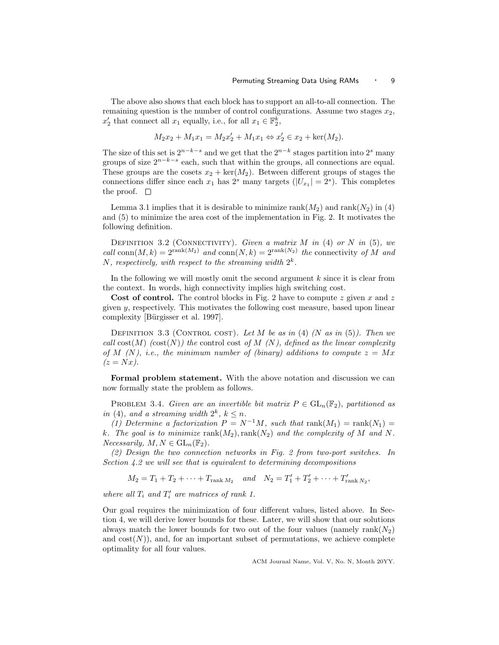The above also shows that each block has to support an all-to-all connection. The remaining question is the number of control configurations. Assume two stages  $x_2$ ,  $x'_2$  that connect all  $x_1$  equally, i.e., for all  $x_1 \in \mathbb{F}_2^k$ ,

$$
M_2x_2 + M_1x_1 = M_2x'_2 + M_1x_1 \Leftrightarrow x'_2 \in x_2 + \ker(M_2).
$$

The size of this set is  $2^{n-k-s}$  and we get that the  $2^{n-k}$  stages partition into  $2^s$  many groups of size  $2^{n-k-s}$  each, such that within the groups, all connections are equal. These groups are the cosets  $x_2 + \text{ker}(M_2)$ . Between different groups of stages the connections differ since each  $x_1$  has  $2^s$  many targets  $(|U_{x_1}| = 2^s)$ . This completes the proof.  $\square$ 

Lemma 3.1 implies that it is desirable to minimize rank( $M_2$ ) and rank( $N_2$ ) in (4) and (5) to minimize the area cost of the implementation in Fig. 2. It motivates the following definition.

DEFINITION 3.2 (CONNECTIVITY). Given a matrix  $M$  in (4) or  $N$  in (5), we call conn $(M, k) = 2^{\text{rank}(M_2)}$  and conn $(N, k) = 2^{\text{rank}(N_2)}$  the connectivity of M and N, respectively, with respect to the streaming width  $2^k$ .

In the following we will mostly omit the second argument  $k$  since it is clear from the context. In words, high connectivity implies high switching cost.

**Cost of control.** The control blocks in Fig. 2 have to compute z given x and z given y, respectively. This motivates the following cost measure, based upon linear complexity [Bürgisser et al. 1997].

DEFINITION 3.3 (CONTROL COST). Let M be as in (4) (N as in (5)). Then we call  $cost(M)$  (cost(N)) the control cost of M (N), defined as the linear complexity of M (N), i.e., the minimum number of (binary) additions to compute  $z = Mx$  $(z=Nx).$ 

Formal problem statement. With the above notation and discussion we can now formally state the problem as follows.

PROBLEM 3.4. Given are an invertible bit matrix  $P \in GL_n(\mathbb{F}_2)$ , partitioned as in (4), and a streaming width  $2^k$ ,  $k \leq n$ .

(1) Determine a factorization  $P = N^{-1}M$ , such that rank $(M_1) = \text{rank}(N_1) =$ k. The goal is to minimize  $rank(M_2)$ ,  $rank(N_2)$  and the complexity of M and N.  $Necessarily, M, N \in GL_n(\mathbb{F}_2).$ 

(2) Design the two connection networks in Fig. 2 from two-port switches. In Section 4.2 we will see that is equivalent to determining decompositions

 $M_2 = T_1 + T_2 + \dots + T_{\text{rank }M_2}$  and  $N_2 = T'_1 + T'_2 + \dots + T'_{\text{rank }N_2}$ ,

where all  $T_i$  and  $T'_i$  are matrices of rank 1.

Our goal requires the minimization of four different values, listed above. In Section 4, we will derive lower bounds for these. Later, we will show that our solutions always match the lower bounds for two out of the four values (namely  $rank(N_2)$ ) and  $cost(N)$ , and, for an important subset of permutations, we achieve complete optimality for all four values.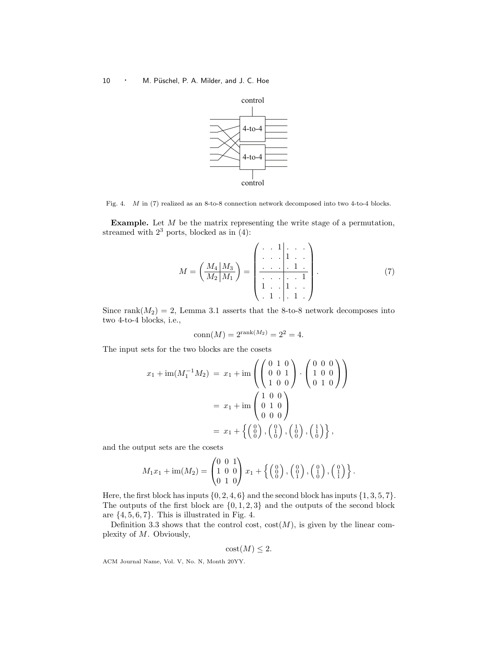

Fig. 4. M in (7) realized as an 8-to-8 connection network decomposed into two 4-to-4 blocks.

**Example.** Let  $M$  be the matrix representing the write stage of a permutation, streamed with  $2<sup>3</sup>$  ports, blocked as in (4):

M = M<sup>4</sup> M<sup>3</sup> M<sup>2</sup> M<sup>1</sup> = . . 1 . . . . . . 1 . . . . . . 1 . . . . . . 1 1 . . 1 . . . 1 . . 1 . . (7)

Since rank $(M_2) = 2$ , Lemma 3.1 asserts that the 8-to-8 network decomposes into two 4-to-4 blocks, i.e.,

$$
conn(M) = 2rank(M2) = 22 = 4.
$$

The input sets for the two blocks are the cosets

$$
x_1 + \text{im}(M_1^{-1}M_2) = x_1 + \text{im}\left(\begin{pmatrix} 0 & 1 & 0 \\ 0 & 0 & 1 \\ 1 & 0 & 0 \end{pmatrix} \cdot \begin{pmatrix} 0 & 0 & 0 \\ 1 & 0 & 0 \\ 0 & 1 & 0 \end{pmatrix}\right)
$$
  
=  $x_1 + \text{im}\begin{pmatrix} 1 & 0 & 0 \\ 0 & 1 & 0 \\ 0 & 0 & 0 \end{pmatrix}$   
=  $x_1 + \left\{\begin{pmatrix} 0 \\ 0 \end{pmatrix}, \begin{pmatrix} 0 \\ 1 \end{pmatrix}, \begin{pmatrix} 1 \\ 0 \end{pmatrix}, \begin{pmatrix} 1 \\ 0 \end{pmatrix}, \begin{pmatrix} 1 \\ 0 \end{pmatrix}\right\},$ 

and the output sets are the cosets

$$
M_1x_1 + \text{im}(M_2) = \begin{pmatrix} 0 & 0 & 1 \\ 1 & 0 & 0 \\ 0 & 1 & 0 \end{pmatrix} x_1 + \left\{ \begin{pmatrix} 0 \\ 0 \\ 0 \end{pmatrix}, \begin{pmatrix} 0 \\ 0 \\ 1 \end{pmatrix}, \begin{pmatrix} 0 \\ 1 \\ 0 \end{pmatrix}, \begin{pmatrix} 0 \\ 1 \\ 1 \end{pmatrix} \right\}.
$$

Here, the first block has inputs  $\{0, 2, 4, 6\}$  and the second block has inputs  $\{1, 3, 5, 7\}$ . The outputs of the first block are  $\{0, 1, 2, 3\}$  and the outputs of the second block are  $\{4, 5, 6, 7\}$ . This is illustrated in Fig. 4.

Definition 3.3 shows that the control cost,  $cost(M)$ , is given by the linear complexity of M. Obviously,

$$
cost(M) \le 2.
$$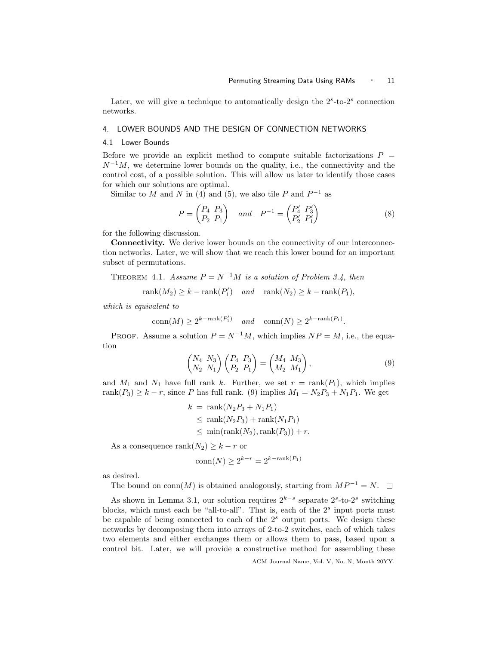Later, we will give a technique to automatically design the  $2<sup>s</sup>$ -to- $2<sup>s</sup>$  connection networks.

# 4. LOWER BOUNDS AND THE DESIGN OF CONNECTION NETWORKS

# 4.1 Lower Bounds

Before we provide an explicit method to compute suitable factorizations  $P =$  $N^{-1}M$ , we determine lower bounds on the quality, i.e., the connectivity and the control cost, of a possible solution. This will allow us later to identify those cases for which our solutions are optimal.

Similar to M and N in (4) and (5), we also tile P and  $P^{-1}$  as

$$
P = \begin{pmatrix} P_4 & P_3 \\ P_2 & P_1 \end{pmatrix} \quad and \quad P^{-1} = \begin{pmatrix} P'_4 & P'_3 \\ P'_2 & P'_1 \end{pmatrix}
$$
 (8)

for the following discussion.

Connectivity. We derive lower bounds on the connectivity of our interconnection networks. Later, we will show that we reach this lower bound for an important subset of permutations.

THEOREM 4.1. Assume  $P = N^{-1}M$  is a solution of Problem 3.4, then

$$
rank(M_2) \ge k - rank(P'_1) \quad and \quad rank(N_2) \ge k - rank(P_1),
$$

which is equivalent to

$$
conn(M) \ge 2^{k-rank(P'_1)} \quad and \quad conn(N) \ge 2^{k-rank(P_1)}.
$$

PROOF. Assume a solution  $P = N^{-1}M$ , which implies  $NP = M$ , i.e., the equation

$$
\begin{pmatrix} N_4 & N_3 \ N_2 & N_1 \end{pmatrix} \begin{pmatrix} P_4 & P_3 \ P_2 & P_1 \end{pmatrix} = \begin{pmatrix} M_4 & M_3 \ M_2 & M_1 \end{pmatrix},
$$
\n(9)

and  $M_1$  and  $N_1$  have full rank k. Further, we set  $r = \text{rank}(P_1)$ , which implies rank $(P_3) \geq k - r$ , since P has full rank. (9) implies  $M_1 = N_2 P_3 + N_1 P_1$ . We get

$$
k = \operatorname{rank}(N_2 P_3 + N_1 P_1)
$$
  
\n
$$
\leq \operatorname{rank}(N_2 P_3) + \operatorname{rank}(N_1 P_1)
$$
  
\n
$$
\leq \operatorname{min}(\operatorname{rank}(N_2), \operatorname{rank}(P_3)) + r.
$$

As a consequence rank $(N_2) \geq k - r$  or

$$
conn(N) \ge 2^{k-r} = 2^{k-rank(P_1)}
$$

as desired.

The bound on conn(M) is obtained analogously, starting from  $MP^{-1} = N$ .  $\square$ 

As shown in Lemma 3.1, our solution requires  $2^{k-s}$  separate  $2^{s}$ -to- $2^{s}$  switching blocks, which must each be "all-to-all". That is, each of the  $2<sup>s</sup>$  input ports must be capable of being connected to each of the  $2<sup>s</sup>$  output ports. We design these networks by decomposing them into arrays of 2-to-2 switches, each of which takes two elements and either exchanges them or allows them to pass, based upon a control bit. Later, we will provide a constructive method for assembling these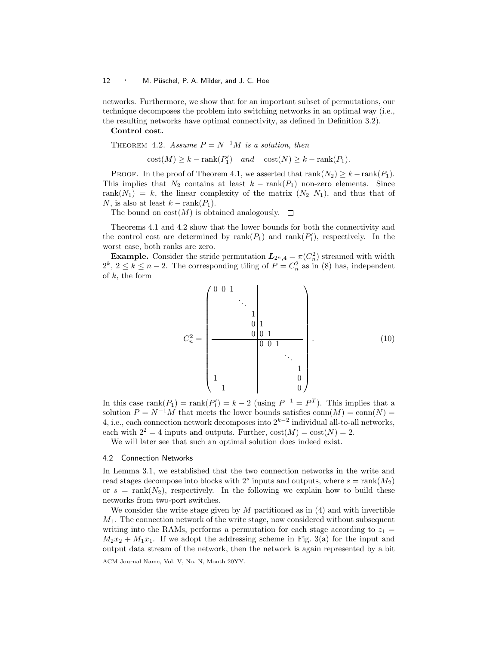networks. Furthermore, we show that for an important subset of permutations, our technique decomposes the problem into switching networks in an optimal way (i.e., the resulting networks have optimal connectivity, as defined in Definition 3.2).

Control cost.

THEOREM 4.2. Assume  $P = N^{-1}M$  is a solution, then

 $\mathrm{cost}(M) \geq k - \mathrm{rank}(P'_1)$  $\binom{n'}{1}$  and  $\text{cost}(N) \geq k - \text{rank}(P_1).$ 

PROOF. In the proof of Theorem 4.1, we asserted that  $rank(N_2) \geq k - rank(P_1)$ . This implies that  $N_2$  contains at least  $k - \text{rank}(P_1)$  non-zero elements. Since rank $(N_1) = k$ , the linear complexity of the matrix  $(N_2 N_1)$ , and thus that of N, is also at least  $k - \text{rank}(P_1)$ .

The bound on  $\text{cost}(M)$  is obtained analogously.  $\square$ 

Theorems 4.1 and 4.2 show that the lower bounds for both the connectivity and the control cost are determined by  $rank(P_1)$  and  $rank(P'_1)$ , respectively. In the worst case, both ranks are zero.

**Example.** Consider the stride permutation  $\mathbf{L}_{2^n,4} = \pi(C_n^2)$  streamed with width  $2^k$ ,  $2 \le k \le n-2$ . The corresponding tiling of  $P = C_n^2$  as in (8) has, independent of  $k$ , the form

$$
C_n^2 = \begin{pmatrix} 0 & 0 & 1 & & & & & \\ & & \ddots & & & & & & \\ & & & 1 & & & & & \\ & & & 0 & 1 & & & & \\ & & & 0 & 0 & 1 & & & \\ & & & & 0 & 0 & 1 & & \\ & & & & & & 1 & & \\ & & & & & & & 1 & & \\ 1 & & & & & & & & 0 \\ & & & & & & & & 0 \end{pmatrix} . \tag{10}
$$

In this case  $\text{rank}(P_1) = \text{rank}(P_1') = k - 2$  (using  $P^{-1} = P^T$ ). This implies that a solution  $P = N^{-1}M$  that meets the lower bounds satisfies conn $(M) = \text{conn}(N)$ 4, i.e., each connection network decomposes into  $2^{k-2}$  individual all-to-all networks, each with  $2^2 = 4$  inputs and outputs. Further,  $\text{cost}(M) = \text{cost}(N) = 2$ .

We will later see that such an optimal solution does indeed exist.

## 4.2 Connection Networks

In Lemma 3.1, we established that the two connection networks in the write and read stages decompose into blocks with  $2<sup>s</sup>$  inputs and outputs, where  $s = \text{rank}(M_2)$ or  $s = \text{rank}(N_2)$ , respectively. In the following we explain how to build these networks from two-port switches.

We consider the write stage given by  $M$  partitioned as in  $(4)$  and with invertible  $M_1$ . The connection network of the write stage, now considered without subsequent writing into the RAMs, performs a permutation for each stage according to  $z_1 =$  $M_2x_2 + M_1x_1$ . If we adopt the addressing scheme in Fig. 3(a) for the input and output data stream of the network, then the network is again represented by a bit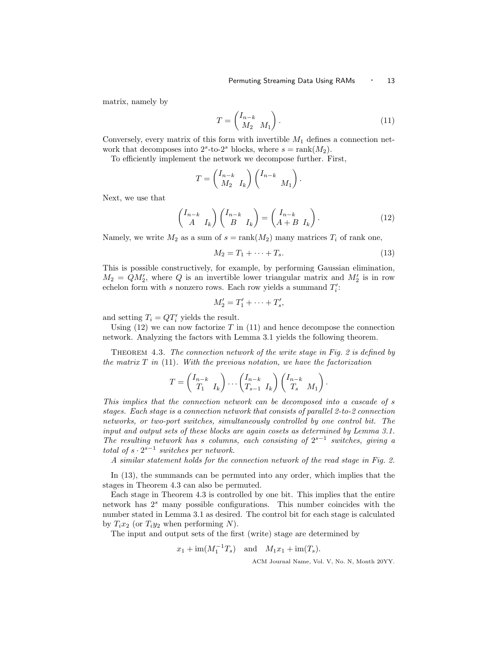matrix, namely by

$$
T = \begin{pmatrix} I_{n-k} \\ M_2 & M_1 \end{pmatrix} . \tag{11}
$$

Conversely, every matrix of this form with invertible  $M_1$  defines a connection network that decomposes into  $2<sup>s</sup>$ -to- $2<sup>s</sup>$  blocks, where  $s = \text{rank}(M_2)$ .

To efficiently implement the network we decompose further. First,

$$
T = \begin{pmatrix} I_{n-k} \\ M_2 & I_k \end{pmatrix} \begin{pmatrix} I_{n-k} \\ M_1 \end{pmatrix}.
$$

Next, we use that

$$
\begin{pmatrix} I_{n-k} & \\ A & I_k \end{pmatrix} \begin{pmatrix} I_{n-k} & \\ B & I_k \end{pmatrix} = \begin{pmatrix} I_{n-k} & \\ A+B & I_k \end{pmatrix}.
$$
 (12)

Namely, we write  $M_2$  as a sum of  $s = \text{rank}(M_2)$  many matrices  $T_i$  of rank one,

$$
M_2 = T_1 + \dots + T_s. \tag{13}
$$

This is possible constructively, for example, by performing Gaussian elimination,  $M_2 = QM'_2$ , where Q is an invertible lower triangular matrix and  $M'_2$  is in row echelon form with s nonzero rows. Each row yields a summand  $T_i'$ :

$$
M_2'=T_1'+\cdots+T_s',
$$

and setting  $T_i = QT'_i$  yields the result.

Using  $(12)$  we can now factorize T in  $(11)$  and hence decompose the connection network. Analyzing the factors with Lemma 3.1 yields the following theorem.

THEOREM 4.3. The connection network of the write stage in Fig. 2 is defined by the matrix  $T$  in (11). With the previous notation, we have the factorization

$$
T = \begin{pmatrix} I_{n-k} \\ T_1 & I_k \end{pmatrix} \dots \begin{pmatrix} I_{n-k} \\ T_{s-1} & I_k \end{pmatrix} \begin{pmatrix} I_{n-k} \\ T_s & M_1 \end{pmatrix}.
$$

This implies that the connection network can be decomposed into a cascade of s stages. Each stage is a connection network that consists of parallel 2-to-2 connection networks, or two-port switches, simultaneously controlled by one control bit. The input and output sets of these blocks are again cosets as determined by Lemma 3.1. The resulting network has s columns, each consisting of  $2^{s-1}$  switches, giving a total of  $s \cdot 2^{s-1}$  switches per network.

A similar statement holds for the connection network of the read stage in Fig. 2.

In (13), the summands can be permuted into any order, which implies that the stages in Theorem 4.3 can also be permuted.

Each stage in Theorem 4.3 is controlled by one bit. This implies that the entire network has  $2<sup>s</sup>$  many possible configurations. This number coincides with the number stated in Lemma 3.1 as desired. The control bit for each stage is calculated by  $T_i x_2$  (or  $T_i y_2$  when performing N).

The input and output sets of the first (write) stage are determined by

 $x_1 + \text{im}(M_1^{-1}T_s)$  and  $M_1x_1 + \text{im}(T_s)$ .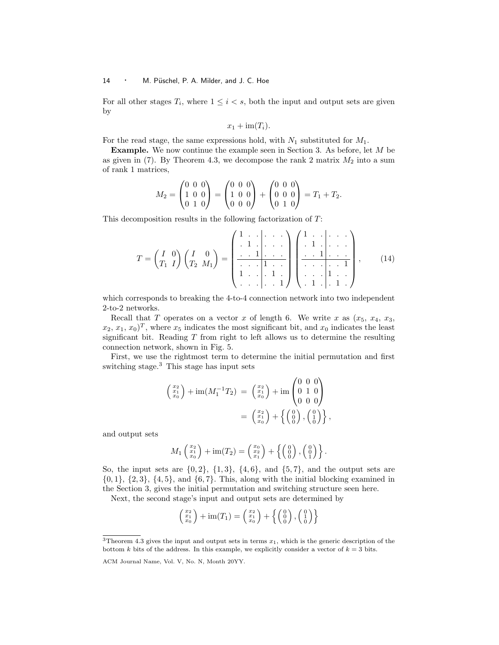For all other stages  $T_i$ , where  $1 \leq i < s$ , both the input and output sets are given by

$$
x_1 + \operatorname{im}(T_i).
$$

For the read stage, the same expressions hold, with  $N_1$  substituted for  $M_1$ .

Example. We now continue the example seen in Section 3. As before, let M be as given in  $(7)$ . By Theorem 4.3, we decompose the rank 2 matrix  $M_2$  into a sum of rank 1 matrices,

$$
M_2 = \begin{pmatrix} 0 & 0 & 0 \\ 1 & 0 & 0 \\ 0 & 1 & 0 \end{pmatrix} = \begin{pmatrix} 0 & 0 & 0 \\ 1 & 0 & 0 \\ 0 & 0 & 0 \end{pmatrix} + \begin{pmatrix} 0 & 0 & 0 \\ 0 & 0 & 0 \\ 0 & 1 & 0 \end{pmatrix} = T_1 + T_2.
$$

This decomposition results in the following factorization of  $T$ :

$$
T = \begin{pmatrix} I & 0 \\ T_1 & I \end{pmatrix} \begin{pmatrix} I & 0 \\ T_2 & M_1 \end{pmatrix} = \begin{pmatrix} 1 & \cdots & \cdots \\ \cdot & 1 & \cdots & \cdots \\ \cdot & \cdot & \cdots & \cdots \\ \cdot & \cdot & \cdots & \cdots \\ 1 & \cdots & \cdots & \cdots \end{pmatrix} \begin{pmatrix} 1 & \cdots & \cdots \\ \cdot & 1 & \cdots & \cdots \\ \cdot & \cdots & \cdots & \cdots \\ \cdot & \cdots & \cdots & \cdots \end{pmatrix}, \qquad (14)
$$

which corresponds to breaking the 4-to-4 connection network into two independent 2-to-2 networks.

Recall that T operates on a vector x of length 6. We write x as  $(x_5, x_4, x_3,$  $(x_2, x_1, x_0)^T$ , where  $x_5$  indicates the most significant bit, and  $x_0$  indicates the least significant bit. Reading  $T$  from right to left allows us to determine the resulting connection network, shown in Fig. 5.

First, we use the rightmost term to determine the initial permutation and first switching stage.<sup>3</sup> This stage has input sets

$$
\begin{pmatrix} x_2 \\ x_1 \\ x_0 \end{pmatrix} + \text{im}(M_1^{-1}T_2) = \begin{pmatrix} x_2 \\ x_1 \\ x_0 \end{pmatrix} + \text{im} \begin{pmatrix} 0 & 0 & 0 \\ 0 & 1 & 0 \\ 0 & 0 & 0 \end{pmatrix}
$$

$$
= \begin{pmatrix} x_2 \\ x_1 \\ x_0 \end{pmatrix} + \left\{ \begin{pmatrix} 0 \\ 0 \\ 0 \end{pmatrix}, \begin{pmatrix} 0 \\ 1 \\ 0 \end{pmatrix} \right\},
$$

and output sets

$$
M_1\begin{pmatrix}x_2\\x_1\\x_0\end{pmatrix} + \text{im}(T_2) = \begin{pmatrix}x_0\\x_2\\x_1\end{pmatrix} + \left\{\begin{pmatrix}0\\0\\0\end{pmatrix},\begin{pmatrix}0\\0\\1\end{pmatrix}\right\}.
$$

So, the input sets are  $\{0, 2\}$ ,  $\{1, 3\}$ ,  $\{4, 6\}$ , and  $\{5, 7\}$ , and the output sets are  $\{0,1\}, \{2,3\}, \{4,5\}, \text{ and } \{6,7\}.$  This, along with the initial blocking examined in the Section 3, gives the initial permutation and switching structure seen here.

Next, the second stage's input and output sets are determined by

$$
\begin{pmatrix} x_2 \\ x_1 \\ x_0 \end{pmatrix} + \text{im}(T_1) = \begin{pmatrix} x_2 \\ x_1 \\ x_0 \end{pmatrix} + \left\{ \begin{pmatrix} 0 \\ 0 \\ 0 \end{pmatrix}, \begin{pmatrix} 0 \\ 1 \\ 0 \end{pmatrix} \right\}
$$

<sup>&</sup>lt;sup>3</sup>Theorem 4.3 gives the input and output sets in terms  $x_1$ , which is the generic description of the bottom k bits of the address. In this example, we explicitly consider a vector of  $k = 3$  bits.

ACM Journal Name, Vol. V, No. N, Month 20YY.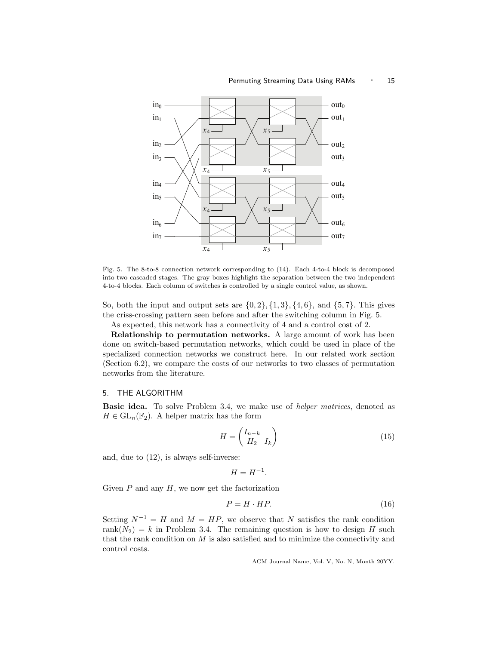# Permuting Streaming Data Using RAMs • 15



Fig. 5. The 8-to-8 connection network corresponding to (14). Each 4-to-4 block is decomposed into two cascaded stages. The gray boxes highlight the separation between the two independent 4-to-4 blocks. Each column of switches is controlled by a single control value, as shown.

So, both the input and output sets are  $\{0, 2\}, \{1, 3\}, \{4, 6\}, \text{ and } \{5, 7\}.$  This gives the criss-crossing pattern seen before and after the switching column in Fig. 5.

As expected, this network has a connectivity of 4 and a control cost of 2.

Relationship to permutation networks. A large amount of work has been done on switch-based permutation networks, which could be used in place of the specialized connection networks we construct here. In our related work section (Section 6.2), we compare the costs of our networks to two classes of permutation networks from the literature.

### 5. THE ALGORITHM

Basic idea. To solve Problem 3.4, we make use of helper matrices, denoted as  $H \in GL_n(\mathbb{F}_2)$ . A helper matrix has the form

$$
H = \begin{pmatrix} I_{n-k} \\ H_2 & I_k \end{pmatrix} \tag{15}
$$

and, due to (12), is always self-inverse:

$$
H=H^{-1}.
$$

Given  $P$  and any  $H$ , we now get the factorization

$$
P = H \cdot HP. \tag{16}
$$

Setting  $N^{-1} = H$  and  $M = HP$ , we observe that N satisfies the rank condition rank $(N_2) = k$  in Problem 3.4. The remaining question is how to design H such that the rank condition on  $M$  is also satisfied and to minimize the connectivity and control costs.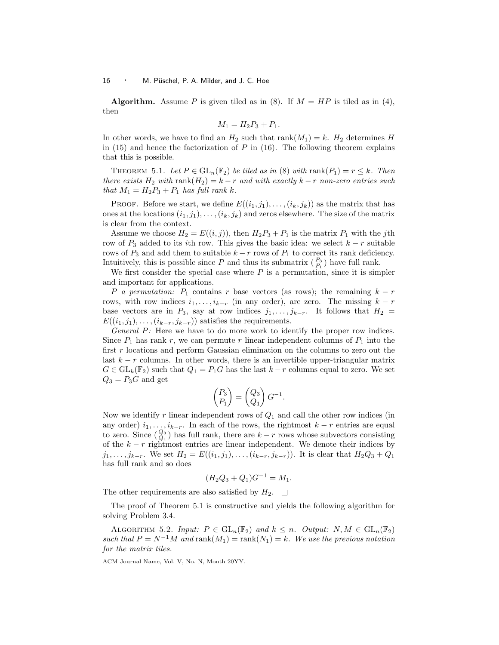**Algorithm.** Assume P is given tiled as in (8). If  $M = HP$  is tiled as in (4), then

$$
M_1 = H_2 P_3 + P_1.
$$

In other words, we have to find an  $H_2$  such that rank $(M_1) = k$ .  $H_2$  determines H in  $(15)$  and hence the factorization of P in  $(16)$ . The following theorem explains that this is possible.

THEOREM 5.1. Let  $P \in GL_n(\mathbb{F}_2)$  be tiled as in (8) with rank $(P_1) = r \leq k$ . Then there exists  $H_2$  with rank $(H_2) = k - r$  and with exactly  $k - r$  non-zero entries such that  $M_1 = H_2 P_3 + P_1$  has full rank k.

**PROOF.** Before we start, we define  $E((i_1, j_1), \ldots, (i_k, j_k))$  as the matrix that has ones at the locations  $(i_1, j_1), \ldots, (i_k, j_k)$  and zeros elsewhere. The size of the matrix is clear from the context.

Assume we choose  $H_2 = E((i, j))$ , then  $H_2P_3 + P_1$  is the matrix  $P_1$  with the jth row of  $P_3$  added to its *i*th row. This gives the basic idea: we select  $k - r$  suitable rows of  $P_3$  and add them to suitable  $k - r$  rows of  $P_1$  to correct its rank deficiency. Intuitively, this is possible since  $P$  and thus its submatrix  $\binom{P_3}{P_1}$  have full rank.

We first consider the special case where  $P$  is a permutation, since it is simpler and important for applications.

P a permutation:  $P_1$  contains r base vectors (as rows); the remaining  $k - r$ rows, with row indices  $i_1, \ldots, i_{k-r}$  (in any order), are zero. The missing  $k - r$ base vectors are in  $P_3$ , say at row indices  $j_1, \ldots, j_{k-r}$ . It follows that  $H_2 =$  $E((i_1, j_1), \ldots, (i_{k-r}, j_{k-r}))$  satisfies the requirements.

General P: Here we have to do more work to identify the proper row indices. Since  $P_1$  has rank r, we can permute r linear independent columns of  $P_1$  into the first  $r$  locations and perform Gaussian elimination on the columns to zero out the last  $k - r$  columns. In other words, there is an invertible upper-triangular matrix  $G \in GL_k(\mathbb{F}_2)$  such that  $Q_1 = P_1G$  has the last  $k-r$  columns equal to zero. We set  $Q_3 = P_3G$  and get

$$
\begin{pmatrix} P_3 \\ P_1 \end{pmatrix} = \begin{pmatrix} Q_3 \\ Q_1 \end{pmatrix} G^{-1}.
$$

Now we identify  $r$  linear independent rows of  $Q_1$  and call the other row indices (in any order)  $i_1, \ldots, i_{k-r}$ . In each of the rows, the rightmost  $k - r$  entries are equal to zero. Since  $\begin{pmatrix} Q_3 \\ Q_1 \end{pmatrix}$  has full rank, there are  $k - r$  rows whose subvectors consisting of the  $k - r$  rightmost entries are linear independent. We denote their indices by  $j_1, \ldots, j_{k-r}$ . We set  $H_2 = E((i_1, j_1), \ldots, (i_{k-r}, j_{k-r}))$ . It is clear that  $H_2Q_3 + Q_1$ has full rank and so does

$$
(H_2Q_3 + Q_1)G^{-1} = M_1.
$$

The other requirements are also satisfied by  $H_2$ .  $\Box$ 

The proof of Theorem 5.1 is constructive and yields the following algorithm for solving Problem 3.4.

ALGORITHM 5.2. Input:  $P \in GL_n(\mathbb{F}_2)$  and  $k \leq n$ . Output:  $N, M \in GL_n(\mathbb{F}_2)$ such that  $P = N^{-1}M$  and  $\text{rank}(M_1) = \text{rank}(N_1) = k$ . We use the previous notation for the matrix tiles.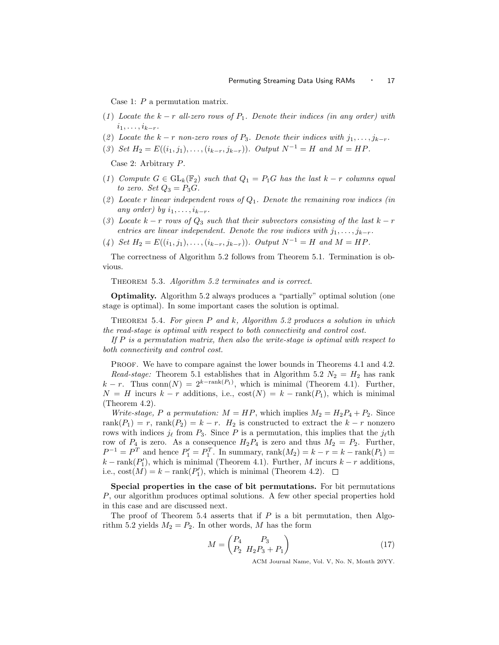Case 1: P a permutation matrix.

- (1) Locate the  $k r$  all-zero rows of  $P_1$ . Denote their indices (in any order) with  $i_1, \ldots, i_{k-r}.$
- (2) Locate the k r non-zero rows of P<sub>3</sub>. Denote their indices with  $j_1, \ldots, j_{k-r}$ .
- (3) Set  $H_2 = E((i_1, j_1), \ldots, (i_{k-r}, j_{k-r}))$ . Output  $N^{-1} = H$  and  $M = HP$ .

Case 2: Arbitrary P.

- (1) Compute  $G \in GL_k(\mathbb{F}_2)$  such that  $Q_1 = P_1G$  has the last  $k r$  columns equal to zero. Set  $Q_3 = P_3G$ .
- (2) Locate r linear independent rows of  $Q_1$ . Denote the remaining row indices (in any order) by  $i_1, \ldots, i_{k-r}$ .
- (3) Locate k − r rows of  $Q_3$  such that their subvectors consisting of the last k r entries are linear independent. Denote the row indices with  $j_1, \ldots, j_{k-r}$ .
- (4) Set  $H_2 = E((i_1, j_1), \ldots, (i_{k-r}, j_{k-r}))$ . Output  $N^{-1} = H$  and  $M = HP$ .

The correctness of Algorithm 5.2 follows from Theorem 5.1. Termination is obvious.

THEOREM 5.3. Algorithm 5.2 terminates and is correct.

Optimality. Algorithm 5.2 always produces a "partially" optimal solution (one stage is optimal). In some important cases the solution is optimal.

THEOREM 5.4. For given P and k, Algorithm 5.2 produces a solution in which the read-stage is optimal with respect to both connectivity and control cost.

If  $P$  is a permutation matrix, then also the write-stage is optimal with respect to both connectivity and control cost.

PROOF. We have to compare against the lower bounds in Theorems 4.1 and 4.2. *Read-stage:* Theorem 5.1 establishes that in Algorithm 5.2  $N_2 = H_2$  has rank  $k - r$ . Thus conn $(N) = 2^{k-\text{rank}(P_1)}$ , which is minimal (Theorem 4.1). Further,  $N = H$  incurs  $k - r$  additions, i.e.,  $cost(N) = k - rank(P_1)$ , which is minimal (Theorem 4.2).

Write-stage, P a permutation:  $M = HP$ , which implies  $M_2 = H_2P_4 + P_2$ . Since  $rank(P_1) = r$ ,  $rank(P_2) = k - r$ .  $H_2$  is constructed to extract the  $k - r$  nonzero rows with indices  $j_{\ell}$  from  $P_3$ . Since P is a permutation, this implies that the  $j_{\ell}$ th row of  $P_4$  is zero. As a consequence  $H_2P_4$  is zero and thus  $M_2 = P_2$ . Further,  $P^{-1} = P^T$  and hence  $P'_1 = P_1^T$ . In summary,  $\text{rank}(M_2) = k - r = k - \text{rank}(P_1) =$  $k - \text{rank}(P'_1)$ , which is minimal (Theorem 4.1). Further, M incurs  $k - r$  additions, i.e.,  $\text{cost}(M) = k - \text{rank}(P'_1)$ , which is minimal (Theorem 4.2).

Special properties in the case of bit permutations. For bit permutations P, our algorithm produces optimal solutions. A few other special properties hold in this case and are discussed next.

The proof of Theorem 5.4 asserts that if  $P$  is a bit permutation, then Algorithm 5.2 yields  $M_2 = P_2$ . In other words, M has the form

$$
M = \begin{pmatrix} P_4 & P_3 \\ P_2 & H_2 P_3 + P_1 \end{pmatrix}
$$
 (17)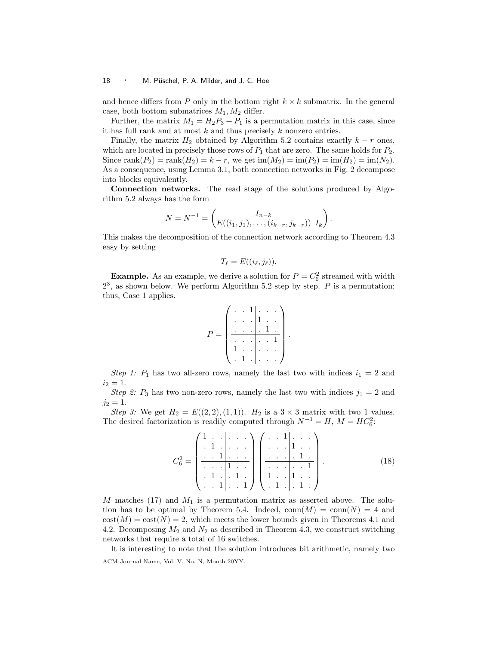and hence differs from P only in the bottom right  $k \times k$  submatrix. In the general case, both bottom submatrices  $M_1, M_2$  differ.

Further, the matrix  $M_1 = H_2 P_3 + P_1$  is a permutation matrix in this case, since it has full rank and at most  $k$  and thus precisely  $k$  nonzero entries.

Finally, the matrix  $H_2$  obtained by Algorithm 5.2 contains exactly  $k - r$  ones, which are located in precisely those rows of  $P_1$  that are zero. The same holds for  $P_2$ . Since rank $(P_2)$  = rank $(H_2)$  =  $k - r$ , we get im $(M_2)$  = im $(P_2)$  = im $(H_2)$  = im $(N_2)$ . As a consequence, using Lemma 3.1, both connection networks in Fig. 2 decompose into blocks equivalently.

Connection networks. The read stage of the solutions produced by Algorithm 5.2 always has the form

$$
N = N^{-1} = \begin{pmatrix} I_{n-k} \\ E((i_1, j_1), \dots, (i_{k-r}, j_{k-r})) & I_k \end{pmatrix}.
$$

This makes the decomposition of the connection network according to Theorem 4.3 easy by setting

$$
T_{\ell}=E((i_{\ell},j_{\ell})).
$$

**Example.** As an example, we derive a solution for  $P = C_6^2$  streamed with width  $2<sup>3</sup>$ , as shown below. We perform Algorithm 5.2 step by step. P is a permutation; thus, Case 1 applies.

$$
P = \begin{pmatrix} \cdot & \cdot & 1 & \cdot & \cdot & \cdot \\ \cdot & \cdot & \cdot & 1 & \cdot & \cdot \\ \cdot & \cdot & \cdot & \cdot & 1 & \cdot \\ \cdot & \cdot & \cdot & \cdot & \cdot & 1 \\ 1 & \cdot & \cdot & \cdot & \cdot & \cdot \\ \cdot & 1 & \cdot & \cdot & \cdot & \cdot \end{pmatrix}.
$$

Step 1:  $P_1$  has two all-zero rows, namely the last two with indices  $i_1 = 2$  and  $i_2 = 1.$ 

Step 2:  $P_3$  has two non-zero rows, namely the last two with indices  $j_1 = 2$  and  $j_2 = 1$ .

Step 3: We get  $H_2 = E((2,2),(1,1))$ .  $H_2$  is a  $3 \times 3$  matrix with two 1 values. The desired factorization is readily computed through  $N^{-1} = H$ ,  $M = HC_6^2$ :

$$
C_6^2 = \begin{pmatrix} 1 & \cdot & \cdot & \cdot & \cdot & \cdot \\ \cdot & 1 & \cdot & \cdot & \cdot & \cdot \\ \cdot & \cdot & 1 & \cdot & \cdot & \cdot \\ \cdot & \cdot & 1 & \cdot & \cdot & \cdot \\ \cdot & 1 & \cdot & 1 & \cdot & \cdot \\ \cdot & 1 & \cdot & 1 & \cdot & 1 \end{pmatrix} \begin{pmatrix} \cdot & \cdot & 1 & \cdot & \cdot & \cdot \\ \cdot & \cdot & \cdot & 1 & \cdot & \cdot \\ \cdot & \cdot & \cdot & 1 & \cdot & \cdot \\ \cdot & \cdot & \cdot & 1 & \cdot & \cdot \\ \cdot & 1 & \cdot & 1 & \cdot & \cdot \\ \cdot & 1 & \cdot & 1 & \cdot & \cdot \end{pmatrix} . \tag{18}
$$

M matches (17) and  $M_1$  is a permutation matrix as asserted above. The solution has to be optimal by Theorem 5.4. Indeed,  $\text{conn}(M) = \text{conn}(N) = 4$  and  $cost(M) = cost(N) = 2$ , which meets the lower bounds given in Theorems 4.1 and 4.2. Decomposing  $M_2$  and  $N_2$  as described in Theorem 4.3, we construct switching networks that require a total of 16 switches.

It is interesting to note that the solution introduces bit arithmetic, namely two ACM Journal Name, Vol. V, No. N, Month 20YY.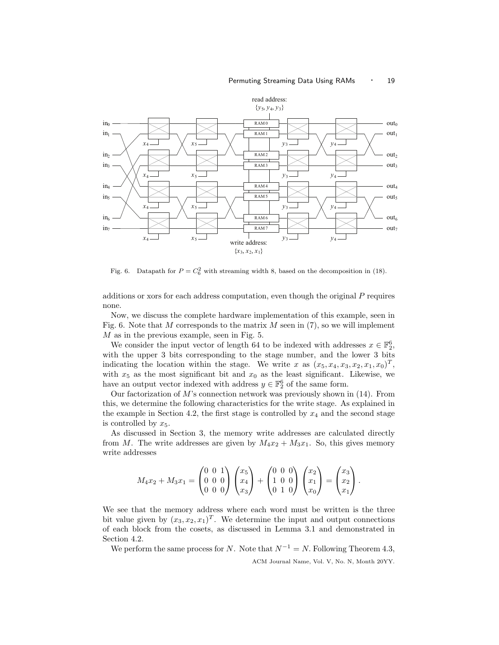

Fig. 6. Datapath for  $P = C_6^2$  with streaming width 8, based on the decomposition in (18).

additions or xors for each address computation, even though the original  $P$  requires none.

Now, we discuss the complete hardware implementation of this example, seen in Fig. 6. Note that M corresponds to the matrix  $M$  seen in (7), so we will implement M as in the previous example, seen in Fig. 5.

We consider the input vector of length 64 to be indexed with addresses  $x \in \mathbb{F}_2^6$ , with the upper 3 bits corresponding to the stage number, and the lower 3 bits indicating the location within the stage. We write x as  $(x_5, x_4, x_3, x_2, x_1, x_0)^T$ , with  $x_5$  as the most significant bit and  $x_0$  as the least significant. Likewise, we have an output vector indexed with address  $y \in \mathbb{F}_2^6$  of the same form.

Our factorization of  $M$ 's connection network was previously shown in  $(14)$ . From this, we determine the following characteristics for the write stage. As explained in the example in Section 4.2, the first stage is controlled by  $x_4$  and the second stage is controlled by  $x_5$ .

As discussed in Section 3, the memory write addresses are calculated directly from M. The write addresses are given by  $M_4x_2 + M_3x_1$ . So, this gives memory write addresses

$$
M_4x_2 + M_3x_1 = \begin{pmatrix} 0 & 0 & 1 \\ 0 & 0 & 0 \\ 0 & 0 & 0 \end{pmatrix} \begin{pmatrix} x_5 \\ x_4 \\ x_3 \end{pmatrix} + \begin{pmatrix} 0 & 0 & 0 \\ 1 & 0 & 0 \\ 0 & 1 & 0 \end{pmatrix} \begin{pmatrix} x_2 \\ x_1 \\ x_0 \end{pmatrix} = \begin{pmatrix} x_3 \\ x_2 \\ x_1 \end{pmatrix}.
$$

We see that the memory address where each word must be written is the three bit value given by  $(x_3, x_2, x_1)^T$ . We determine the input and output connections of each block from the cosets, as discussed in Lemma 3.1 and demonstrated in Section 4.2.

We perform the same process for N. Note that  $N^{-1} = N$ . Following Theorem 4.3,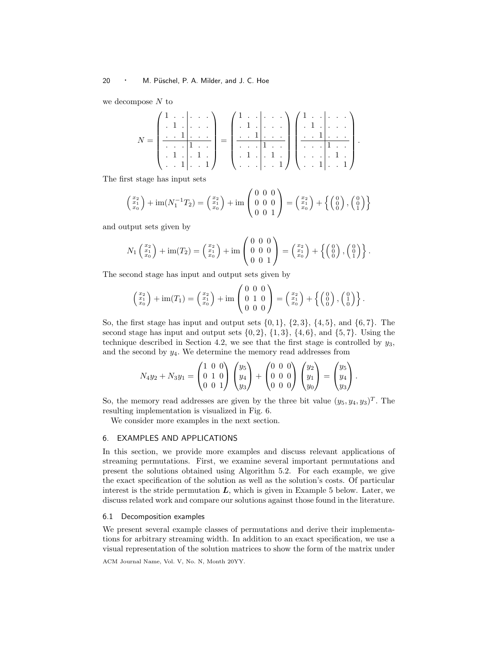we decompose  $N$  to

$$
N = \left( \begin{array}{cccc} 1 & . & . & . & . & . \\ . & 1 & . & . & . & . \\ . & . & 1 & . & . & . \\ . & . & . & 1 & . & . \\ . & 1 & . & . & 1 & . \\ . & . & 1 & . & . & 1 \end{array} \right) = \left( \begin{array}{cccc} 1 & . & . & . & . & . \\ . & 1 & . & . & . & . & . \\ . & . & 1 & . & . & . & . \\ . & . & . & 1 & . & . & . \\ . & 1 & . & . & 1 & . & . \\ . & . & 1 & . & . & 1 \end{array} \right) \left( \begin{array}{cccc} 1 & . & . & . & . & . & . \\ . & 1 & . & . & . & . & . & . \\ . & . & 1 & . & . & . & . & . \\ . & . & 1 & . & . & . & . & 1 \end{array} \right).
$$

The first stage has input sets

$$
\begin{pmatrix} x_2 \\ x_1 \\ x_0 \end{pmatrix} + \text{im}(N_1^{-1}T_2) = \begin{pmatrix} x_2 \\ x_1 \\ x_0 \end{pmatrix} + \text{im} \begin{pmatrix} 0 & 0 & 0 \\ 0 & 0 & 0 \\ 0 & 0 & 1 \end{pmatrix} = \begin{pmatrix} x_2 \\ x_1 \\ x_0 \end{pmatrix} + \left\{ \begin{pmatrix} 0 \\ 0 \\ 0 \end{pmatrix}, \begin{pmatrix} 0 \\ 0 \\ 1 \end{pmatrix} \right\}
$$

and output sets given by

$$
N_1\left(\begin{matrix}x_2\\x_1\\x_0\end{matrix}\right)+\text{im}(T_2)=\left(\begin{matrix}x_2\\x_1\\x_0\end{matrix}\right)+\text{im}\left(\begin{matrix}0&0&0\\0&0&0\\0&0&1\end{matrix}\right)=\left(\begin{matrix}x_2\\x_1\\x_0\end{matrix}\right)+\left\{\left(\begin{matrix}0\\0\\0\end{matrix}\right),\left(\begin{matrix}0\\0\\1\end{matrix}\right)\right\}.
$$

The second stage has input and output sets given by

$$
\begin{pmatrix} x_2 \\ x_1 \\ x_0 \end{pmatrix} + \text{im}(T_1) = \begin{pmatrix} x_2 \\ x_1 \\ x_0 \end{pmatrix} + \text{im} \begin{pmatrix} 0 & 0 & 0 \\ 0 & 1 & 0 \\ 0 & 0 & 0 \end{pmatrix} = \begin{pmatrix} x_2 \\ x_1 \\ x_0 \end{pmatrix} + \left\{ \begin{pmatrix} 0 \\ 0 \\ 0 \end{pmatrix}, \begin{pmatrix} 0 \\ 1 \\ 0 \end{pmatrix} \right\}.
$$

So, the first stage has input and output sets  $\{0, 1\}$ ,  $\{2, 3\}$ ,  $\{4, 5\}$ , and  $\{6, 7\}$ . The second stage has input and output sets  $\{0, 2\}$ ,  $\{1, 3\}$ ,  $\{4, 6\}$ , and  $\{5, 7\}$ . Using the technique described in Section 4.2, we see that the first stage is controlled by  $y_3$ , and the second by  $y_4$ . We determine the memory read addresses from

$$
N_4y_2 + N_3y_1 = \begin{pmatrix} 1 & 0 & 0 \\ 0 & 1 & 0 \\ 0 & 0 & 1 \end{pmatrix} \begin{pmatrix} y_5 \\ y_4 \\ y_3 \end{pmatrix} + \begin{pmatrix} 0 & 0 & 0 \\ 0 & 0 & 0 \\ 0 & 0 & 0 \end{pmatrix} \begin{pmatrix} y_2 \\ y_1 \\ y_0 \end{pmatrix} = \begin{pmatrix} y_5 \\ y_4 \\ y_3 \end{pmatrix}.
$$

So, the memory read addresses are given by the three bit value  $(y_5, y_4, y_3)^T$ . The resulting implementation is visualized in Fig. 6.

We consider more examples in the next section.

## 6. EXAMPLES AND APPLICATIONS

In this section, we provide more examples and discuss relevant applications of streaming permutations. First, we examine several important permutations and present the solutions obtained using Algorithm 5.2. For each example, we give the exact specification of the solution as well as the solution's costs. Of particular interest is the stride permutation  $L$ , which is given in Example 5 below. Later, we discuss related work and compare our solutions against those found in the literature.

# 6.1 Decomposition examples

We present several example classes of permutations and derive their implementations for arbitrary streaming width. In addition to an exact specification, we use a visual representation of the solution matrices to show the form of the matrix under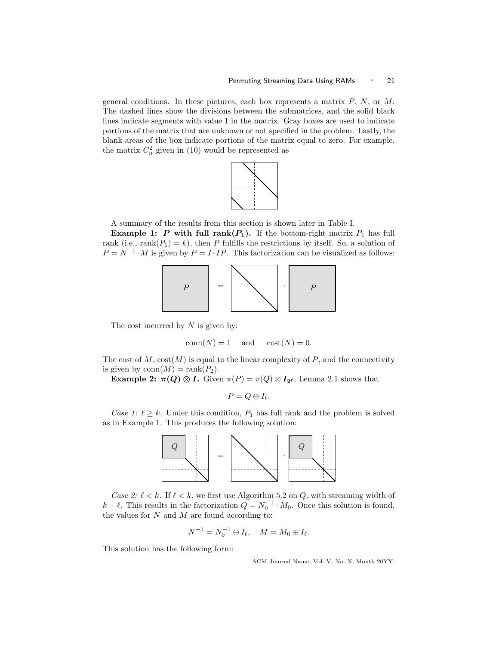general conditions. In these pictures, each box represents a matrix  $P$ ,  $N$ , or  $M$ . The dashed lines show the divisions between the submatrices, and the solid black lines indicate segments with value 1 in the matrix. Gray boxes are used to indicate portions of the matrix that are unknown or not specified in the problem. Lastly, the blank areas of the box indicate portions of the matrix equal to zero. For example, the matrix  $C_n^2$  given in (10) would be represented as



A summary of the results from this section is shown later in Table I.

**Example 1:** P with full rank $(P_1)$ . If the bottom-right matrix  $P_1$  has full rank (i.e.,  $rank(P_1) = k$ ), then P fulfills the restrictions by itself. So, a solution of  $P = N^{-1} \cdot M$  is given by  $P = I \cdot IP$ . This factorization can be visualized as follows:



The cost incurred by  $N$  is given by:

$$
conn(N) = 1
$$
 and  $cost(N) = 0$ .

The cost of  $M$ , cost $(M)$  is equal to the linear complexity of P, and the connectivity is given by  $\text{conn}(M) = \text{rank}(P_2)$ .

Example 2:  $\pi(Q) \otimes I$ . Given  $\pi(P) = \pi(Q) \otimes I_{2^{\ell}}$ , Lemma 2.1 shows that

$$
P=Q\oplus I_{\ell}.
$$

Case 1:  $\ell \geq k$ . Under this condition,  $P_1$  has full rank and the problem is solved as in Example 1. This produces the following solution:



Case 2:  $\ell < k$ . If  $\ell < k$ , we first use Algorithm 5.2 on Q, with streaming width of  $k - \ell$ . This results in the factorization  $Q = N_0^{-1} \cdot M_0$ . Once this solution is found, the values for  $N$  and  $M$  are found according to:

$$
N^{-1} = N_0^{-1} \oplus I_\ell, \quad M = M_0 \oplus I_\ell.
$$

This solution has the following form: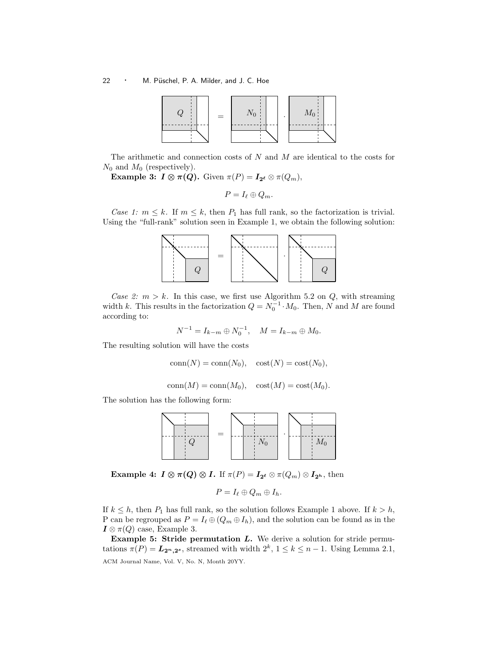

The arithmetic and connection costs of  $N$  and  $M$  are identical to the costs for  $N_0$  and  $M_0$  (respectively).

**Example 3:**  $I \otimes \pi(Q)$ . Given  $\pi(P) = I_{2^{\ell}} \otimes \pi(Q_m)$ ,

$$
P=I_{\ell}\oplus Q_m.
$$

Case 1:  $m \leq k$ . If  $m \leq k$ , then  $P_1$  has full rank, so the factorization is trivial. Using the "full-rank" solution seen in Example 1, we obtain the following solution:



Case 2:  $m > k$ . In this case, we first use Algorithm 5.2 on Q, with streaming width k. This results in the factorization  $Q = N_0^{-1} \cdot M_0$ . Then, N and M are found according to:

$$
N^{-1} = I_{k-m} \oplus N_0^{-1}, \quad M = I_{k-m} \oplus M_0.
$$

The resulting solution will have the costs

$$
conn(N) = conn(N0), cost(N) = cost(N0),
$$
  

$$
conn(M) = conn(M0), cost(M) = cost(M0).
$$

The solution has the following form:



Example 4:  $I \otimes \pi(Q) \otimes I$ . If  $\pi(P) = I_{2^{\ell}} \otimes \pi(Q_m) \otimes I_{2^h}$ , then

$$
P=I_{\ell}\oplus Q_m\oplus I_h.
$$

If  $k \leq h$ , then  $P_1$  has full rank, so the solution follows Example 1 above. If  $k > h$ , P can be regrouped as  $P = I_{\ell} \oplus (Q_m \oplus I_h)$ , and the solution can be found as in the  $\mathbf{I} \otimes \pi(Q)$  case, Example 3.

Example 5: Stride permutation  $L$ . We derive a solution for stride permutations  $\pi(P) = \mathbf{L}_{2^n, 2^s}$ , streamed with width  $2^k$ ,  $1 \leq k \leq n-1$ . Using Lemma 2.1, ACM Journal Name, Vol. V, No. N, Month 20YY.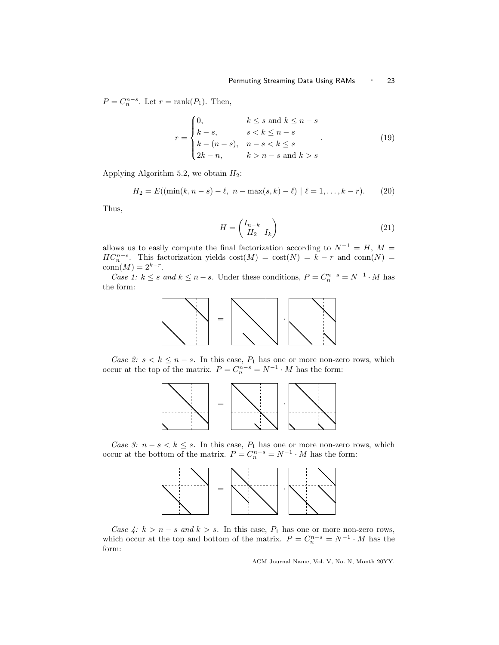$P = C_n^{n-s}$ . Let  $r = \text{rank}(P_1)$ . Then,

$$
r = \begin{cases} 0, & k \le s \text{ and } k \le n - s \\ k - s, & s < k \le n - s \\ k - (n - s), & n - s < k \le s \\ 2k - n, & k > n - s \text{ and } k > s \end{cases}
$$
(19)

Applying Algorithm 5.2, we obtain  $H_2$ :

$$
H_2 = E((\min(k, n-s) - \ell, n - \max(s, k) - \ell) | \ell = 1, ..., k - r).
$$
 (20)

Thus,

$$
H = \begin{pmatrix} I_{n-k} \\ H_2 & I_k \end{pmatrix} \tag{21}
$$

allows us to easily compute the final factorization according to  $N^{-1} = H, M =$  $HC_n^{n-s}$ . This factorization yields  $cost(M) = cost(N) = \overline{k} - r$  and  $conn(N) =$  $\operatorname{conn}^n(M) = 2^{k-r}.$ 

*Case 1*:  $k \leq s$  and  $k \leq n - s$ . Under these conditions,  $P = C_n^{n-s} = N^{-1} \cdot M$  has the form:



Case 2:  $s < k \leq n - s$ . In this case,  $P_1$  has one or more non-zero rows, which occur at the top of the matrix.  $P = C_n^{n-s} = N^{-1} \cdot M$  has the form:



Case 3:  $n - s < k \leq s$ . In this case,  $P_1$  has one or more non-zero rows, which occur at the bottom of the matrix.  $P = C_n^{n-s} = N^{-1} \cdot M$  has the form:



Case 4:  $k > n - s$  and  $k > s$ . In this case,  $P_1$  has one or more non-zero rows, which occur at the top and bottom of the matrix.  $P = C_n^{n-s} = N^{-1} \cdot M$  has the form: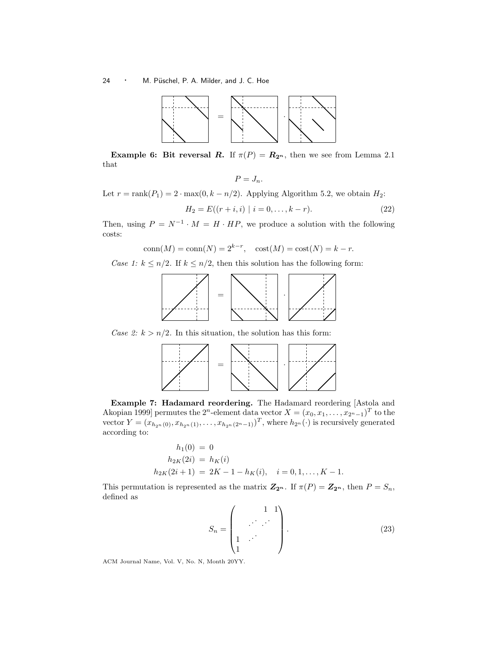

Example 6: Bit reversal R. If  $\pi(P) = R_{2^n}$ , then we see from Lemma 2.1 that

$$
P=J_n.
$$

Let  $r = \text{rank}(P_1) = 2 \cdot \max(0, k - n/2)$ . Applying Algorithm 5.2, we obtain  $H_2$ :

$$
H_2 = E((r+i, i) | i = 0, ..., k-r).
$$
 (22)

Then, using  $P = N^{-1} \cdot M = H \cdot HP$ , we produce a solution with the following costs:

$$
conn(M) = conn(N) = 2^{k-r}, \quad cost(M) = cost(N) = k - r.
$$

Case 1:  $k \leq n/2$ . If  $k \leq n/2$ , then this solution has the following form:



Case 2:  $k > n/2$ . In this situation, the solution has this form:



Example 7: Hadamard reordering. The Hadamard reordering [Astola and Akopian 1999] permutes the  $2^n$ -element data vector  $X = (x_0, x_1, \ldots, x_{2^n-1})^T$  to the vector  $Y = (x_{h_{2^n}(0)}, x_{h_{2^n}(1)}, \ldots, x_{h_{2^n}(2^n-1)})^T$ , where  $h_{2^n}(\cdot)$  is recursively generated according to:

$$
h_1(0) = 0
$$
  
\n
$$
h_{2K}(2i) = h_K(i)
$$
  
\n
$$
h_{2K}(2i+1) = 2K - 1 - h_K(i), \quad i = 0, 1, ..., K - 1.
$$

This permutation is represented as the matrix  $\mathbb{Z}_{2^n}$ . If  $\pi(P) = \mathbb{Z}_{2^n}$ , then  $P = S_n$ , defined as

$$
S_n = \begin{pmatrix} 1 & 1 \\ \vdots & \vdots & \vdots \\ 1 & \vdots & \vdots \end{pmatrix} . \tag{23}
$$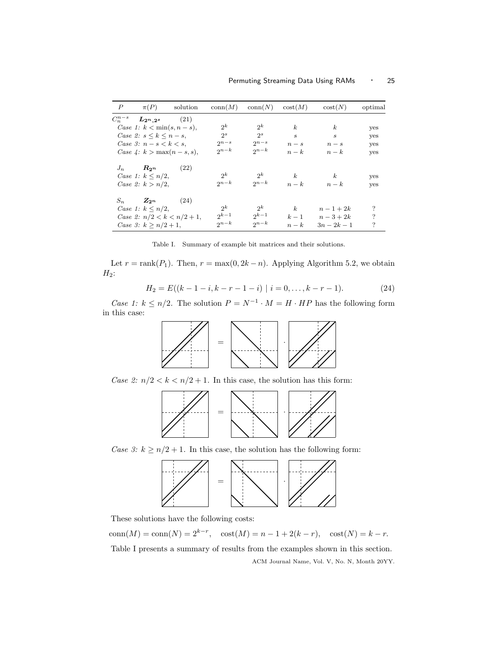| $\boldsymbol{P}$              | $\pi(P)$                      | solution |                | $\text{conn}(M)$ $\text{conn}(N)$ | $\mathrm{cost}(M)$ | $\cosh(N)$       | optimal |
|-------------------------------|-------------------------------|----------|----------------|-----------------------------------|--------------------|------------------|---------|
| $C_n^{n-s}$                   | $L_{2^n,2^s}$                 | (21)     |                |                                   |                    |                  |         |
| Case 1: $k < \min(s, n-s)$ ,  |                               |          | $2^k$          | $2^k$                             | $\boldsymbol{k}$   | $\boldsymbol{k}$ | yes     |
|                               | Case 2: $s \leq k \leq n-s$ , |          | 2 <sup>s</sup> | 2 <sup>s</sup>                    | $\boldsymbol{s}$   | $\boldsymbol{s}$ | yes     |
|                               | Case 3: $n-s < k < s$ ,       |          | $2^{n-s}$      | $2^{n-s}$                         | $n - s$            | $n - s$          | yes     |
|                               | Case $4: k > max(n - s, s)$ , |          | $2n-k$         | $2n-k$                            | $n-k$              | $n-k$            | yes     |
| $J_n$                         | $\boldsymbol{R_{2^n}}$        | (22)     |                |                                   |                    |                  |         |
|                               | Case 1: $k \leq n/2$ ,        |          | $2^k$          | $2^k$                             | $\kappa$           | $\boldsymbol{k}$ | yes     |
|                               | Case 2: $k > n/2$ ,           |          | $2n-k$         | $2^{n-k}$                         | $n-k$              | $n-k$            | yes     |
| $S_n$                         | $\Z_{2^n}$                    | (24)     |                |                                   |                    |                  |         |
|                               | Case 1: $k \leq n/2$ ,        |          | $2^k$          | $2^k$                             | $\kappa$           | $n-1+2k$         | ?       |
| Case 2: $n/2 < k < n/2 + 1$ , |                               |          | $2^{k-1}$      | $2^{k-1}$                         | $k-1$              | $n-3+2k$         | ?       |
|                               | Case 3: $k > n/2 + 1$ ,       |          | $2^{n-k}$      | $2^{n-k}$                         | $n-k$              | $3n - 2k - 1$    | ?       |

Table I. Summary of example bit matrices and their solutions.

Let  $r = \text{rank}(P_1)$ . Then,  $r = \max(0, 2k - n)$ . Applying Algorithm 5.2, we obtain  $H_2$ :

$$
H_2 = E((k - 1 - i, k - r - 1 - i) | i = 0, ..., k - r - 1).
$$
 (24)

Case 1:  $k \leq n/2$ . The solution  $P = N^{-1} \cdot M = H \cdot HP$  has the following form in this case:



Case 2:  $n/2 < k < n/2 + 1$ . In this case, the solution has this form:



Case 3:  $k \geq n/2 + 1$ . In this case, the solution has the following form:



These solutions have the following costs:

conn(M) = conn(N) =  $2^{k-r}$ , cost(M) =  $n - 1 + 2(k - r)$ , cost(N) =  $k - r$ .

Table I presents a summary of results from the examples shown in this section.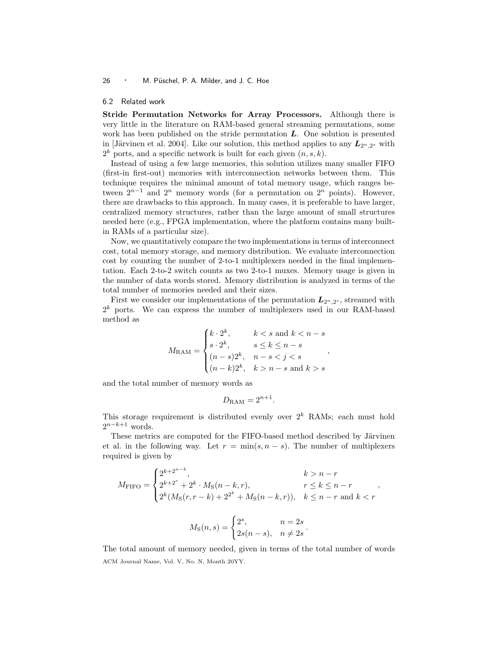#### 6.2 Related work

Stride Permutation Networks for Array Processors. Although there is very little in the literature on RAM-based general streaming permutations, some work has been published on the stride permutation  $L$ . One solution is presented in [Järvinen et al. 2004]. Like our solution, this method applies to any  $L_{2^n,2^s}$  with  $2^k$  ports, and a specific network is built for each given  $(n, s, k)$ .

Instead of using a few large memories, this solution utilizes many smaller FIFO (first-in first-out) memories with interconnection networks between them. This technique requires the minimal amount of total memory usage, which ranges between  $2^{n-1}$  and  $2^n$  memory words (for a permutation on  $2^n$  points). However, there are drawbacks to this approach. In many cases, it is preferable to have larger, centralized memory structures, rather than the large amount of small structures needed here (e.g., FPGA implementation, where the platform contains many builtin RAMs of a particular size).

Now, we quantitatively compare the two implementations in terms of interconnect cost, total memory storage, and memory distribution. We evaluate interconnection cost by counting the number of 2-to-1 multiplexers needed in the final implementation. Each 2-to-2 switch counts as two 2-to-1 muxes. Memory usage is given in the number of data words stored. Memory distribution is analyzed in terms of the total number of memories needed and their sizes.

First we consider our implementations of the permutation  $\mathbf{L}_{2^n,2^s}$ , streamed with  $2<sup>k</sup>$  ports. We can express the number of multiplexers used in our RAM-based method as

$$
M_{\rm RAM} = \begin{cases} k \cdot 2^k, & k < s \text{ and } k < n - s \\ s \cdot 2^k, & s \le k \le n - s \\ (n - s)2^k, & n - s < j < s \\ (n - k)2^k, & k > n - s \text{ and } k > s \end{cases}
$$

and the total number of memory words as

$$
D_{\rm RAM} = 2^{n+1}.
$$

This storage requirement is distributed evenly over  $2^k$  RAMs; each must hold  $2^{n-k+1}$  words.

These metrics are computed for the FIFO-based method described by Järvinen et al. in the following way. Let  $r = \min(s, n - s)$ . The number of multiplexers required is given by

$$
M_{\text{FIFO}} = \begin{cases} 2^{k+2^{n-k}}, & k > n-r \\ 2^{k+2^{r}} + 2^{k} \cdot M_{\text{S}}(n-k, r), & r \le k \le n-r \\ 2^{k}(M_{\text{S}}(r, r-k) + 2^{2^{k}} + M_{\text{S}}(n-k, r)), & k \le n-r \text{ and } k < r \end{cases},
$$
  

$$
\left(2^{s}, p-2^{s}\right)
$$

$$
M_{\rm S}(n,s) = \begin{cases} 2^s, & n = 2s \\ 2s(n-s), & n \neq 2s \end{cases}.
$$

The total amount of memory needed, given in terms of the total number of words ACM Journal Name, Vol. V, No. N, Month 20YY.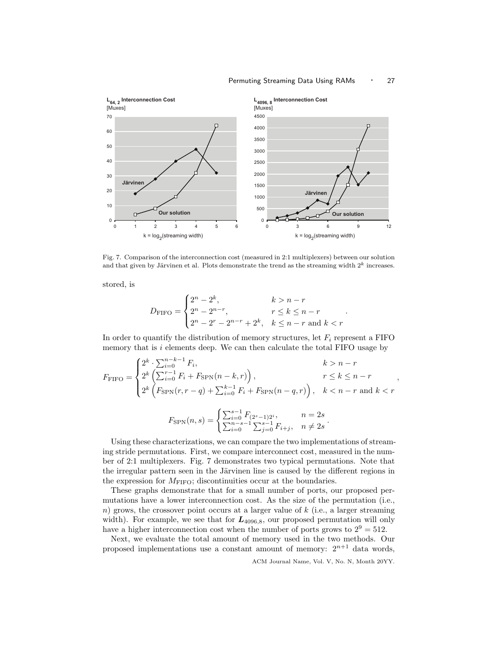

Fig. 7. Comparison of the interconnection cost (measured in 2:1 multiplexers) between our solution and that given by Järvinen et al. Plots demonstrate the trend as the streaming width  $2^k$  increases.

stored, is

$$
D_{\text{FIFO}} = \begin{cases} 2^{n} - 2^{k}, & k > n - r \\ 2^{n} - 2^{n-r}, & r \leq k \leq n - r \\ 2^{n} - 2^{r} - 2^{n-r} + 2^{k}, & k \leq n - r \text{ and } k < r \end{cases}.
$$

In order to quantify the distribution of memory structures, let  $F_i$  represent a FIFO memory that is  $i$  elements deep. We can then calculate the total FIFO usage by

$$
F_{\text{FIFO}} = \begin{cases} 2^{k} \cdot \sum_{i=0}^{n-k-1} F_i, & k > n-r \\ 2^{k} \left( \sum_{i=0}^{r-1} F_i + F_{\text{SPN}}(n-k, r) \right), & r \leq k \leq n-r \\ 2^{k} \left( F_{\text{SPN}}(r, r-q) + \sum_{i=0}^{k-1} F_i + F_{\text{SPN}}(n-q, r) \right), & k < n-r \text{ and } k < r \end{cases}
$$

$$
F_{\text{SPN}}(n, s) = \begin{cases} \sum_{i=0}^{s-1} F_{(2^s-1)2^i}, & n = 2s \\ \sum_{i=0}^{n-s-1} \sum_{j=0}^{s-1} F_{i+j}, & n \neq 2s \end{cases}.
$$

Using these characterizations, we can compare the two implementations of streaming stride permutations. First, we compare interconnect cost, measured in the number of 2:1 multiplexers. Fig. 7 demonstrates two typical permutations. Note that the irregular pattern seen in the Järvinen line is caused by the different regions in the expression for  $M_{\text{FIFO}}$ ; discontinuities occur at the boundaries.

These graphs demonstrate that for a small number of ports, our proposed permutations have a lower interconnection cost. As the size of the permutation (i.e.,  $n)$  grows, the crossover point occurs at a larger value of  $k$  (i.e., a larger streaming width). For example, we see that for  $L_{4096,8}$ , our proposed permutation will only have a higher interconnection cost when the number of ports grows to  $2^9 = 512$ .

Next, we evaluate the total amount of memory used in the two methods. Our proposed implementations use a constant amount of memory:  $2^{n+1}$  data words,

ACM Journal Name, Vol. V, No. N, Month 20YY.

,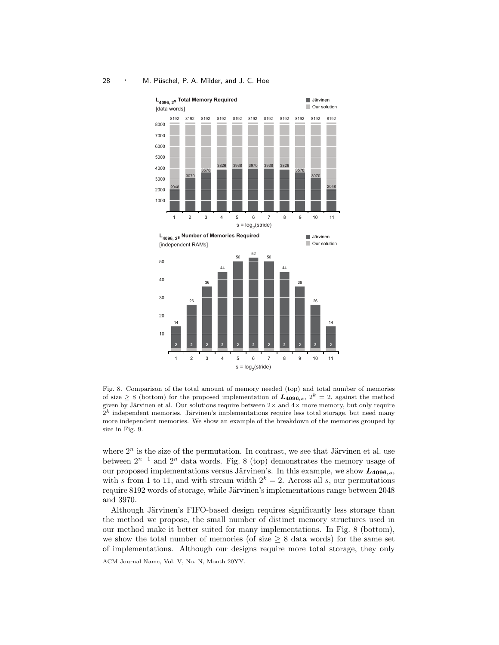

Fig. 8. Comparison of the total amount of memory needed (top) and total number of memories of size  $\geq 8$  (bottom) for the proposed implementation of  $L_{4096,s}$ ,  $2^k = 2$ , against the method given by Järvinen et al. Our solutions require between  $2 \times$  and  $4 \times$  more memory, but only require  $2<sup>k</sup>$  independent memories. Järvinen's implementations require less total storage, but need many more independent memories. We show an example of the breakdown of the memories grouped by size in Fig. 9.

where  $2<sup>n</sup>$  is the size of the permutation. In contrast, we see that Järvinen et al. use between  $2^{n-1}$  and  $2^n$  data words. Fig. 8 (top) demonstrates the memory usage of our proposed implementations versus Järvinen's. In this example, we show  $L_{4096,s}$ , with s from 1 to 11, and with stream width  $2^k = 2$ . Across all s, our permutations require 8192 words of storage, while Järvinen's implementations range between 2048 and 3970.

Although Järvinen's FIFO-based design requires significantly less storage than the method we propose, the small number of distinct memory structures used in our method make it better suited for many implementations. In Fig. 8 (bottom), we show the total number of memories (of size  $\geq 8$  data words) for the same set of implementations. Although our designs require more total storage, they only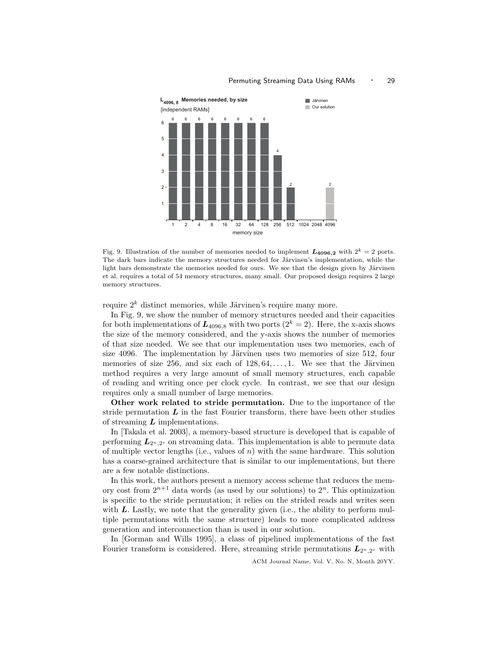

Fig. 9. Illustration of the number of memories needed to implement  $L_{4096,2}$  with  $2^k = 2$  ports. The dark bars indicate the memory structures needed for Järvinen's implementation, while the light bars demonstrate the memories needed for ours. We see that the design given by Järvinen et al. requires a total of 54 memory structures, many small. Our proposed design requires 2 large memory structures.

require  $2<sup>k</sup>$  distinct memories, while Järvinen's require many more.

In Fig. 9, we show the number of memory structures needed and their capacities for both implementations of  $L_{4096,8}$  with two ports  $(2<sup>k</sup> = 2)$ . Here, the x-axis shows the size of the memory considered, and the y-axis shows the number of memories of that size needed. We see that our implementation uses two memories, each of size  $4096$ . The implementation by Järvinen uses two memories of size 512, four memories of size 256, and six each of  $128, 64, \ldots, 1$ . We see that the Järvinen method requires a very large amount of small memory structures, each capable of reading and writing once per clock cycle. In contrast, we see that our design requires only a small number of large memories.

Other work related to stride permutation. Due to the importance of the stride permutation  $\boldsymbol{L}$  in the fast Fourier transform, there have been other studies of streaming  $\boldsymbol{L}$  implementations.

In [Takala et al. 2003], a memory-based structure is developed that is capable of performing  $L_{2^n,2^s}$  on streaming data. This implementation is able to permute data of multiple vector lengths (i.e., values of  $n$ ) with the same hardware. This solution has a coarse-grained architecture that is similar to our implementations, but there are a few notable distinctions.

In this work, the authors present a memory access scheme that reduces the memory cost from  $2^{n+1}$  data words (as used by our solutions) to  $2^n$ . This optimization is specific to the stride permutation; it relies on the strided reads and writes seen with  $L$ . Lastly, we note that the generality given (i.e., the ability to perform multiple permutations with the same structure) leads to more complicated address generation and interconnection than is used in our solution.

In [Gorman and Wills 1995], a class of pipelined implementations of the fast Fourier transform is considered. Here, streaming stride permutations  $L_{2^n,2^s}$  with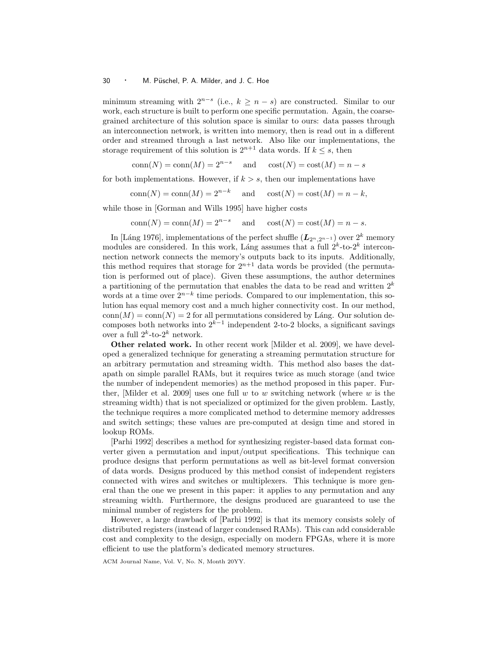minimum streaming with  $2^{n-s}$  (i.e.,  $k \geq n-s$ ) are constructed. Similar to our work, each structure is built to perform one specific permutation. Again, the coarsegrained architecture of this solution space is similar to ours: data passes through an interconnection network, is written into memory, then is read out in a different order and streamed through a last network. Also like our implementations, the storage requirement of this solution is  $2^{n+1}$  data words. If  $k \leq s$ , then

$$
conn(N) = conn(M) = 2^{n-s}
$$
 and  $cost(N) = cost(M) = n - s$ 

for both implementations. However, if  $k > s$ , then our implementations have

$$
conn(N) = conn(M) = 2^{n-k}
$$
 and  $cost(N) = cost(M) = n - k$ ,

while those in [Gorman and Wills 1995] have higher costs

$$
conn(N) = conn(M) = 2^{n-s}
$$
 and  $cost(N) = cost(M) = n - s$ .

In [Láng 1976], implementations of the perfect shuffle  $(L_{2^n,2^{n-1}})$  over  $2^k$  memory modules are considered. In this work, Láng assumes that a full  $2^k$ -to- $2^k$  interconnection network connects the memory's outputs back to its inputs. Additionally, this method requires that storage for  $2^{n+1}$  data words be provided (the permutation is performed out of place). Given these assumptions, the author determines a partitioning of the permutation that enables the data to be read and written  $2^k$ words at a time over  $2^{n-k}$  time periods. Compared to our implementation, this solution has equal memory cost and a much higher connectivity cost. In our method,  $conn(M) = conn(N) = 2$  for all permutations considered by Láng. Our solution decomposes both networks into  $2^{k-1}$  independent 2-to-2 blocks, a significant savings over a full  $2^k$ -to- $2^k$  network.

Other related work. In other recent work [Milder et al. 2009], we have developed a generalized technique for generating a streaming permutation structure for an arbitrary permutation and streaming width. This method also bases the datapath on simple parallel RAMs, but it requires twice as much storage (and twice the number of independent memories) as the method proposed in this paper. Further, [Milder et al. 2009] uses one full w to w switching network (where w is the streaming width) that is not specialized or optimized for the given problem. Lastly, the technique requires a more complicated method to determine memory addresses and switch settings; these values are pre-computed at design time and stored in lookup ROMs.

[Parhi 1992] describes a method for synthesizing register-based data format converter given a permutation and input/output specifications. This technique can produce designs that perform permutations as well as bit-level format conversion of data words. Designs produced by this method consist of independent registers connected with wires and switches or multiplexers. This technique is more general than the one we present in this paper: it applies to any permutation and any streaming width. Furthermore, the designs produced are guaranteed to use the minimal number of registers for the problem.

However, a large drawback of [Parhi 1992] is that its memory consists solely of distributed registers (instead of larger condensed RAMs). This can add considerable cost and complexity to the design, especially on modern FPGAs, where it is more efficient to use the platform's dedicated memory structures.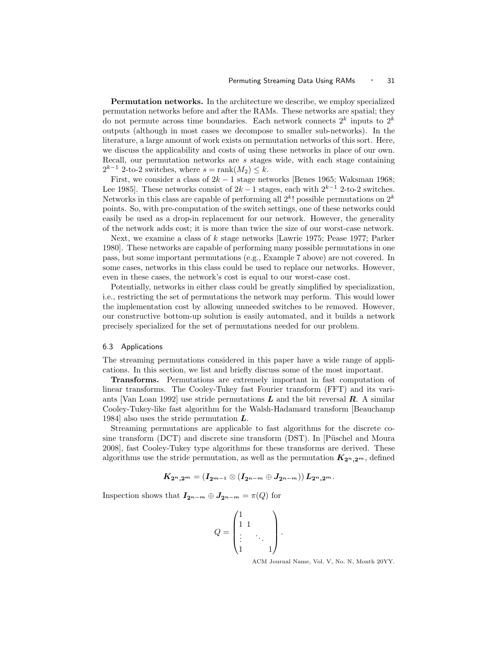Permutation networks. In the architecture we describe, we employ specialized permutation networks before and after the RAMs. These networks are spatial; they do not permute across time boundaries. Each network connects  $2^k$  inputs to  $2^k$ outputs (although in most cases we decompose to smaller sub-networks). In the literature, a large amount of work exists on permutation networks of this sort. Here, we discuss the applicability and costs of using these networks in place of our own. Recall, our permutation networks are s stages wide, with each stage containing  $2^{k-1}$  2-to-2 switches, where  $s = \text{rank}(M_2) \leq k$ .

First, we consider a class of  $2k - 1$  stage networks [Benes 1965; Waksman 1968; Lee 1985]. These networks consist of  $2k-1$  stages, each with  $2^{k-1}$  2-to-2 switches. Networks in this class are capable of performing all  $2^k!$  possible permutations on  $2^k$ points. So, with pre-computation of the switch settings, one of these networks could easily be used as a drop-in replacement for our network. However, the generality of the network adds cost; it is more than twice the size of our worst-case network.

Next, we examine a class of k stage networks [Lawrie 1975; Pease 1977; Parker 1980]. These networks are capable of performing many possible permutations in one pass, but some important permutations (e.g., Example 7 above) are not covered. In some cases, networks in this class could be used to replace our networks. However, even in these cases, the network's cost is equal to our worst-case cost.

Potentially, networks in either class could be greatly simplified by specialization, i.e., restricting the set of permutations the network may perform. This would lower the implementation cost by allowing unneeded switches to be removed. However, our constructive bottom-up solution is easily automated, and it builds a network precisely specialized for the set of permutations needed for our problem.

#### 6.3 Applications

The streaming permutations considered in this paper have a wide range of applications. In this section, we list and briefly discuss some of the most important.

Transforms. Permutations are extremely important in fast computation of linear transforms. The Cooley-Tukey fast Fourier transform (FFT) and its variants [Van Loan 1992] use stride permutations  $\boldsymbol{L}$  and the bit reversal  $\boldsymbol{R}$ . A similar Cooley-Tukey-like fast algorithm for the Walsh-Hadamard transform [Beauchamp 1984] also uses the stride permutation  $\bm{L}$ .

Streaming permutations are applicable to fast algorithms for the discrete cosine transform  $(DCT)$  and discrete sine transform  $(DST)$ . In [Püschel and Moura 2008], fast Cooley-Tukey type algorithms for these transforms are derived. These algorithms use the stride permutation, as well as the permutation  $K_{2^n,2^m}$ , defined

$$
K_{2^n,2^m}=\left(I_{2^{m-1}}\otimes \left(I_{2^{n-m}}\oplus J_{2^{n-m}}\right)\right)L_{2^n,2^m}.
$$

Inspection shows that  $I_{2^{n-m}} \oplus J_{2^{n-m}} = \pi(Q)$  for

$$
Q = \begin{pmatrix} 1 & & & \\ 1 & 1 & & \\ \vdots & & \ddots & \\ 1 & & & 1 \end{pmatrix}.
$$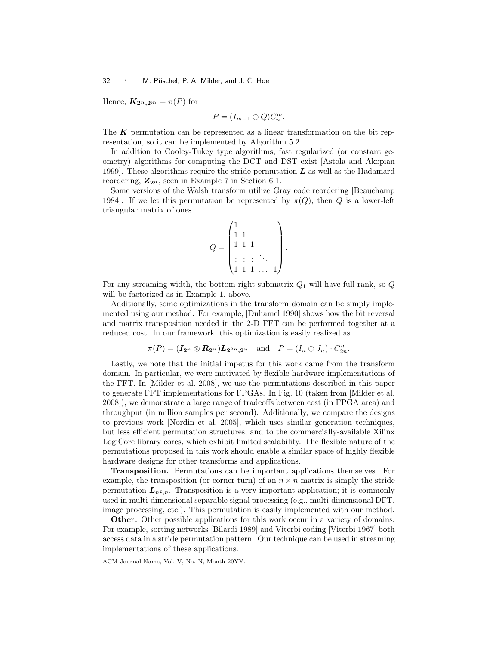Hence,  $\mathbf{K}_{2n,2^m} = \pi(P)$  for

$$
P=(I_{m-1}\oplus Q)C^m_n.
$$

The  $\boldsymbol{K}$  permutation can be represented as a linear transformation on the bit representation, so it can be implemented by Algorithm 5.2.

In addition to Cooley-Tukey type algorithms, fast regularized (or constant geometry) algorithms for computing the DCT and DST exist [Astola and Akopian 1999]. These algorithms require the stride permutation  $\boldsymbol{L}$  as well as the Hadamard reordering,  $\mathbb{Z}_{2^n}$ , seen in Example 7 in Section 6.1.

Some versions of the Walsh transform utilize Gray code reordering [Beauchamp 1984]. If we let this permutation be represented by  $\pi(Q)$ , then Q is a lower-left triangular matrix of ones.

$$
Q = \begin{pmatrix} 1 & & & \\ 1 & 1 & & & \\ 1 & 1 & 1 & & \\ \vdots & \vdots & \vdots & \ddots & \\ 1 & 1 & 1 & \dots & 1 \end{pmatrix}.
$$

For any streaming width, the bottom right submatrix  $Q_1$  will have full rank, so  $Q$ will be factorized as in Example 1, above.

Additionally, some optimizations in the transform domain can be simply implemented using our method. For example, [Duhamel 1990] shows how the bit reversal and matrix transposition needed in the 2-D FFT can be performed together at a reduced cost. In our framework, this optimization is easily realized as

$$
\pi(P) = (\mathbf{I}_{\mathbf{2}^n} \otimes \mathbf{R}_{\mathbf{2}^n}) \mathbf{L}_{\mathbf{2}^{2n}, \mathbf{2}^n} \quad \text{and} \quad P = (I_n \oplus J_n) \cdot C_{2n}^n.
$$

Lastly, we note that the initial impetus for this work came from the transform domain. In particular, we were motivated by flexible hardware implementations of the FFT. In [Milder et al. 2008], we use the permutations described in this paper to generate FFT implementations for FPGAs. In Fig. 10 (taken from [Milder et al. 2008]), we demonstrate a large range of tradeoffs between cost (in FPGA area) and throughput (in million samples per second). Additionally, we compare the designs to previous work [Nordin et al. 2005], which uses similar generation techniques, but less efficient permutation structures, and to the commercially-available Xilinx LogiCore library cores, which exhibit limited scalability. The flexible nature of the permutations proposed in this work should enable a similar space of highly flexible hardware designs for other transforms and applications.

Transposition. Permutations can be important applications themselves. For example, the transposition (or corner turn) of an  $n \times n$  matrix is simply the stride permutation  $L_{n^2,n}$ . Transposition is a very important application; it is commonly used in multi-dimensional separable signal processing (e.g., multi-dimensional DFT, image processing, etc.). This permutation is easily implemented with our method.

Other. Other possible applications for this work occur in a variety of domains. For example, sorting networks [Bilardi 1989] and Viterbi coding [Viterbi 1967] both access data in a stride permutation pattern. Our technique can be used in streaming implementations of these applications.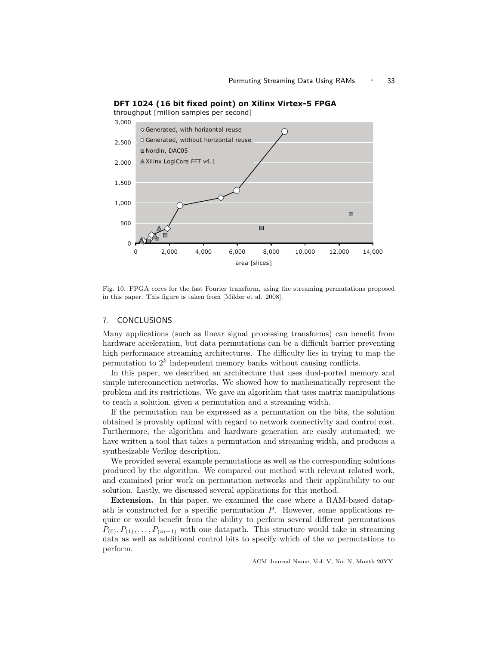

**DFT 1024 (16 bit fixed point) on Xilinx Virtex-5 FPGA**

Fig. 10. FPGA cores for the fast Fourier transform, using the streaming permutations proposed in this paper. This figure is taken from [Milder et al. 2008].

# 7. CONCLUSIONS

Many applications (such as linear signal processing transforms) can benefit from hardware acceleration, but data permutations can be a difficult barrier preventing high performance streaming architectures. The difficulty lies in trying to map the permutation to  $2<sup>k</sup>$  independent memory banks without causing conflicts.

In this paper, we described an architecture that uses dual-ported memory and simple interconnection networks. We showed how to mathematically represent the problem and its restrictions. We gave an algorithm that uses matrix manipulations to reach a solution, given a permutation and a streaming width.

If the permutation can be expressed as a permutation on the bits, the solution obtained is provably optimal with regard to network connectivity and control cost. Furthermore, the algorithm and hardware generation are easily automated; we have written a tool that takes a permutation and streaming width, and produces a synthesizable Verilog description.

We provided several example permutations as well as the corresponding solutions produced by the algorithm. We compared our method with relevant related work, and examined prior work on permutation networks and their applicability to our solution. Lastly, we discussed several applications for this method.

Extension. In this paper, we examined the case where a RAM-based datapath is constructed for a specific permutation  $P$ . However, some applications require or would benefit from the ability to perform several different permutations  $P_{(0)}, P_{(1)}, \ldots, P_{(m-1)}$  with one datapath. This structure would take in streaming data as well as additional control bits to specify which of the m permutations to perform.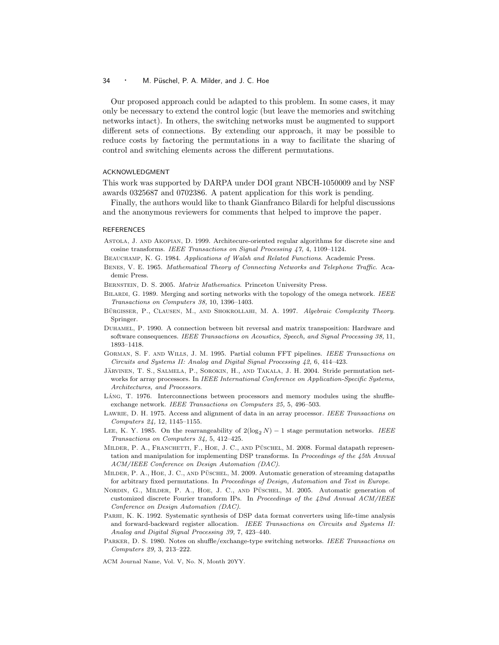Our proposed approach could be adapted to this problem. In some cases, it may only be necessary to extend the control logic (but leave the memories and switching networks intact). In others, the switching networks must be augmented to support different sets of connections. By extending our approach, it may be possible to reduce costs by factoring the permutations in a way to facilitate the sharing of control and switching elements across the different permutations.

#### ACKNOWLEDGMENT

This work was supported by DARPA under DOI grant NBCH-1050009 and by NSF awards 0325687 and 0702386. A patent application for this work is pending.

Finally, the authors would like to thank Gianfranco Bilardi for helpful discussions and the anonymous reviewers for comments that helped to improve the paper.

### REFERENCES

- Astola, J. and Akopian, D. 1999. Architecure-oriented regular algorithms for discrete sine and cosine transforms. IEEE Transactions on Signal Processing 47, 4, 1109–1124.
- Beauchamp, K. G. 1984. Applications of Walsh and Related Functions. Academic Press.
- Benes, V. E. 1965. Mathematical Theory of Connecting Networks and Telephone Traffic. Academic Press.
- Bernstein, D. S. 2005. Matrix Mathematics. Princeton University Press.
- BILARDI, G. 1989. Merging and sorting networks with the topology of the omega network. IEEE Transactions on Computers 38, 10, 1396–1403.
- BÜRGISSER, P., CLAUSEN, M., AND SHOKROLLAHI, M. A. 1997. Algebraic Complexity Theory. Springer.
- Duhamel, P. 1990. A connection between bit reversal and matrix transposition: Hardware and software consequences. IEEE Transactions on Acoustics, Speech, and Signal Processing 38, 11, 1893–1418.
- Gorman, S. F. and Wills, J. M. 1995. Partial column FFT pipelines. IEEE Transactions on Circuits and Systems II: Analog and Digital Signal Processing 42, 6, 414–423.
- JÄRVINEN, T. S., SALMELA, P., SOROKIN, H., AND TAKALA, J. H. 2004. Stride permutation networks for array processors. In IEEE International Conference on Application-Specific Systems, Architectures, and Processors.
- LÁNG, T. 1976. Interconnections between processors and memory modules using the shuffleexchange network. IEEE Transactions on Computers 25, 5, 496–503.
- LAWRIE, D. H. 1975. Access and alignment of data in an array processor. IEEE Transactions on Computers 24, 12, 1145–1155.
- LEE, K. Y. 1985. On the rearrangeability of  $2(\log_2 N) 1$  stage permutation networks. IEEE Transactions on Computers 34, 5, 412–425.
- MILDER, P. A., FRANCHETTI, F., HOE, J. C., AND PÜSCHEL, M. 2008. Formal datapath representation and manipulation for implementing DSP transforms. In Proceedings of the 45th Annual ACM/IEEE Conference on Design Automation (DAC).
- MILDER, P. A., HOE, J. C., AND PÜSCHEL, M. 2009. Automatic generation of streaming datapaths for arbitrary fixed permutations. In Proceedings of Design, Automation and Test in Europe.
- NORDIN, G., MILDER, P. A., HOE, J. C., AND PUSCHEL, M. 2005. Automatic generation of customized discrete Fourier transform IPs. In Proceedings of the 42nd Annual ACM/IEEE Conference on Design Automation (DAC).
- Parhi, K. K. 1992. Systematic synthesis of DSP data format converters using life-time analysis and forward-backward register allocation. IEEE Transactions on Circuits and Systems II: Analog and Digital Signal Processing 39, 7, 423–440.
- PARKER, D. S. 1980. Notes on shuffle/exchange-type switching networks. IEEE Transactions on Computers 29, 3, 213–222.